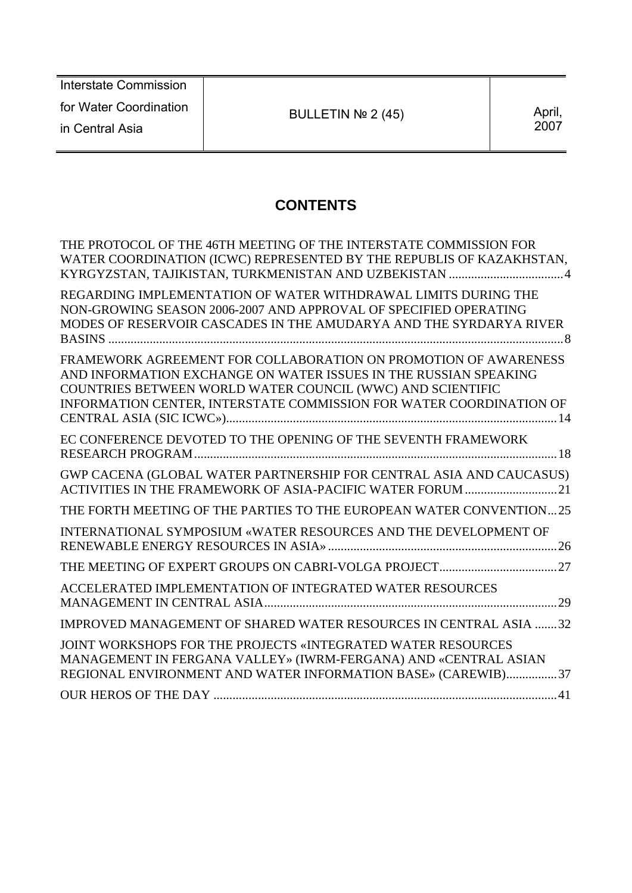| Interstate Commission  |                    |        |
|------------------------|--------------------|--------|
| for Water Coordination | BULLETIN $N2$ (45) | April, |
| in Central Asia        |                    | 2007   |
|                        |                    |        |

# **CONTENTS**

| THE PROTOCOL OF THE 46TH MEETING OF THE INTERSTATE COMMISSION FOR<br>WATER COORDINATION (ICWC) REPRESENTED BY THE REPUBLIS OF KAZAKHSTAN,<br>KYRGYZSTAN, TAJIKISTAN, TURKMENISTAN AND UZBEKISTAN 4                                                                       |
|--------------------------------------------------------------------------------------------------------------------------------------------------------------------------------------------------------------------------------------------------------------------------|
| REGARDING IMPLEMENTATION OF WATER WITHDRAWAL LIMITS DURING THE<br>NON-GROWING SEASON 2006-2007 AND APPROVAL OF SPECIFIED OPERATING<br>MODES OF RESERVOIR CASCADES IN THE AMUDARYA AND THE SYRDARYA RIVER                                                                 |
| FRAMEWORK AGREEMENT FOR COLLABORATION ON PROMOTION OF AWARENESS<br>AND INFORMATION EXCHANGE ON WATER ISSUES IN THE RUSSIAN SPEAKING<br>COUNTRIES BETWEEN WORLD WATER COUNCIL (WWC) AND SCIENTIFIC<br>INFORMATION CENTER, INTERSTATE COMMISSION FOR WATER COORDINATION OF |
| EC CONFERENCE DEVOTED TO THE OPENING OF THE SEVENTH FRAMEWORK                                                                                                                                                                                                            |
| GWP CACENA (GLOBAL WATER PARTNERSHIP FOR CENTRAL ASIA AND CAUCASUS)                                                                                                                                                                                                      |
| THE FORTH MEETING OF THE PARTIES TO THE EUROPEAN WATER CONVENTION25                                                                                                                                                                                                      |
| INTERNATIONAL SYMPOSIUM «WATER RESOURCES AND THE DEVELOPMENT OF                                                                                                                                                                                                          |
|                                                                                                                                                                                                                                                                          |
| ACCELERATED IMPLEMENTATION OF INTEGRATED WATER RESOURCES                                                                                                                                                                                                                 |
| IMPROVED MANAGEMENT OF SHARED WATER RESOURCES IN CENTRAL ASIA 32                                                                                                                                                                                                         |
| JOINT WORKSHOPS FOR THE PROJECTS «INTEGRATED WATER RESOURCES<br>MANAGEMENT IN FERGANA VALLEY» (IWRM-FERGANA) AND «CENTRAL ASIAN<br>REGIONAL ENVIRONMENT AND WATER INFORMATION BASE» (CAREWIB)37                                                                          |
|                                                                                                                                                                                                                                                                          |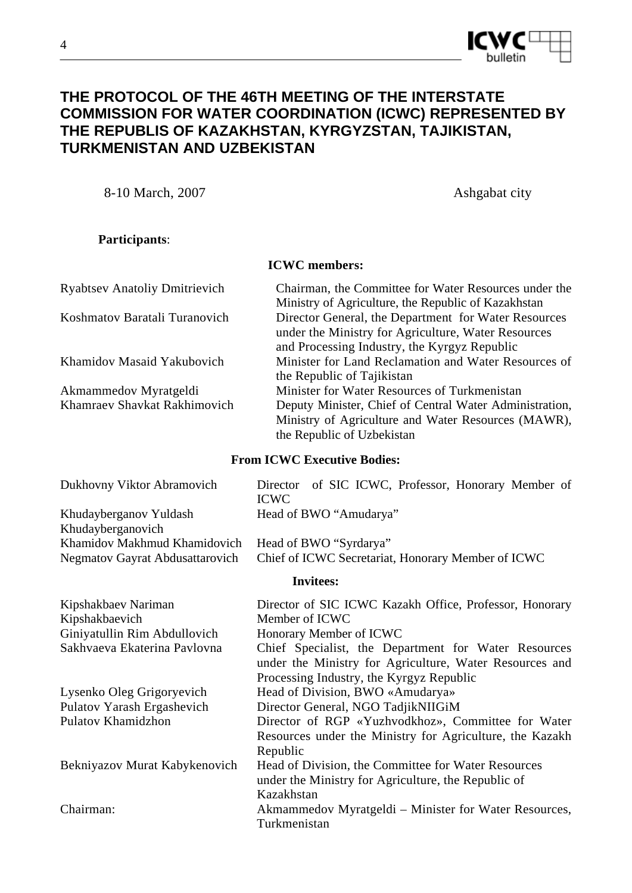

## **THE PROTOCOL OF THE 46TH MEETING OF THE INTERSTATE COMMISSION FOR WATER COORDINATION (ICWC) REPRESENTED BY THE REPUBLIS OF KAZAKHSTAN, KYRGYZSTAN, TAJIKISTAN, TURKMENISTAN AND UZBEKISTAN**

8-10 March, 2007 Ashgabat city

**Participants**:

**ICWC members:** 

| <b>Ryabtsev Anatoliy Dmitrievich</b> | Chairman, the Committee for Water Resources under the   |
|--------------------------------------|---------------------------------------------------------|
|                                      | Ministry of Agriculture, the Republic of Kazakhstan     |
| Koshmatov Baratali Turanovich        | Director General, the Department for Water Resources    |
|                                      | under the Ministry for Agriculture, Water Resources     |
|                                      | and Processing Industry, the Kyrgyz Republic            |
| Khamidov Masaid Yakubovich           | Minister for Land Reclamation and Water Resources of    |
|                                      | the Republic of Tajikistan                              |
| Akmammedov Myratgeldi                | Minister for Water Resources of Turkmenistan            |
| Khamraev Shavkat Rakhimovich         | Deputy Minister, Chief of Central Water Administration, |
|                                      | Ministry of Agriculture and Water Resources (MAWR),     |
|                                      | the Republic of Uzbekistan                              |

#### **From ICWC Executive Bodies:**

| Dukhovny Viktor Abramovich                  | Director of SIC ICWC, Professor, Honorary Member of<br><b>ICWC</b>                                              |
|---------------------------------------------|-----------------------------------------------------------------------------------------------------------------|
| Khudayberganov Yuldash<br>Khudayberganovich | Head of BWO "Amudarya"                                                                                          |
| Khamidov Makhmud Khamidovich                | Head of BWO "Syrdarya"                                                                                          |
| Negmatov Gayrat Abdusattarovich             | Chief of ICWC Secretariat, Honorary Member of ICWC                                                              |
|                                             | <b>Invitees:</b>                                                                                                |
| Kipshakbaev Nariman                         | Director of SIC ICWC Kazakh Office, Professor, Honorary                                                         |
| Kipshakbaevich                              | Member of ICWC                                                                                                  |
| Giniyatullin Rim Abdullovich                | Honorary Member of ICWC                                                                                         |
| Sakhvaeva Ekaterina Pavlovna                | Chief Specialist, the Department for Water Resources<br>under the Ministry for Agriculture, Water Resources and |
| Lysenko Oleg Grigoryevich                   | Processing Industry, the Kyrgyz Republic<br>Head of Division, BWO «Amudarya»                                    |
|                                             |                                                                                                                 |
| Pulatov Yarash Ergashevich                  | Director General, NGO TadjikNIIGiM                                                                              |
| Pulatov Khamidzhon                          | Director of RGP «Yuzhvodkhoz», Committee for Water                                                              |
|                                             | Resources under the Ministry for Agriculture, the Kazakh                                                        |
|                                             | Republic                                                                                                        |
| Bekniyazov Murat Kabykenovich               | Head of Division, the Committee for Water Resources                                                             |
|                                             | under the Ministry for Agriculture, the Republic of                                                             |
|                                             | Kazakhstan                                                                                                      |
| Chairman:                                   | Akmammedov Myratgeldi – Minister for Water Resources,                                                           |
|                                             | Turkmenistan                                                                                                    |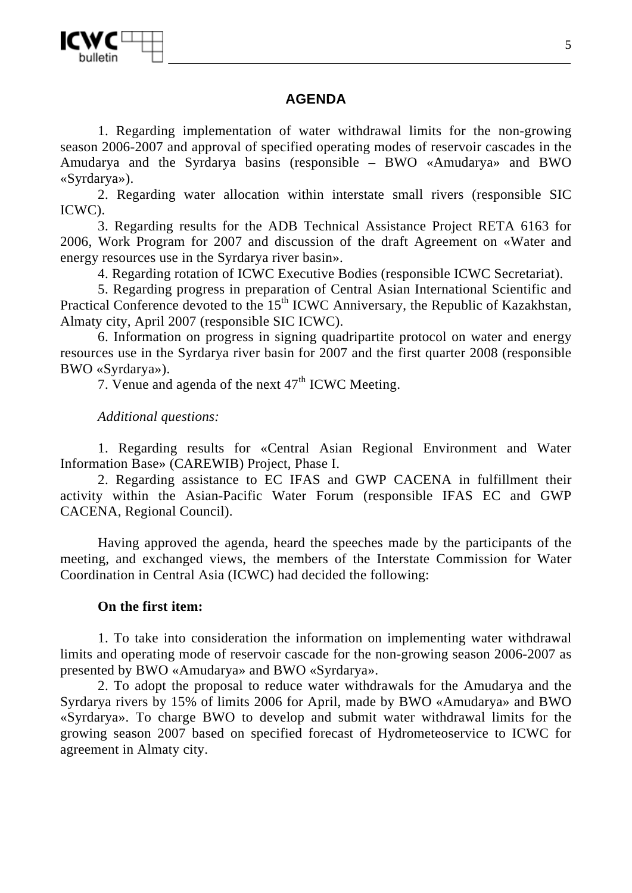## **AGENDA**

1. Regarding implementation of water withdrawal limits for the non-growing season 2006-2007 and approval of specified operating modes of reservoir cascades in the Amudarya and the Syrdarya basins (responsible – BWO «Amudarya» and BWO «Syrdarya»).

2. Regarding water allocation within interstate small rivers (responsible SIC ICWC).

3. Regarding results for the ADB Technical Assistance Project RETA 6163 for 2006, Work Program for 2007 and discussion of the draft Agreement on «Water and energy resources use in the Syrdarya river basin».

4. Regarding rotation of ICWC Executive Bodies (responsible ICWC Secretariat).

5. Regarding progress in preparation of Central Asian International Scientific and Practical Conference devoted to the 15<sup>th</sup> ICWC Anniversary, the Republic of Kazakhstan, Almaty city, April 2007 (responsible SIC ICWC).

6. Information on progress in signing quadripartite protocol on water and energy resources use in the Syrdarya river basin for 2007 and the first quarter 2008 (responsible BWO «Syrdarya»).

7. Venue and agenda of the next  $47<sup>th</sup>$  ICWC Meeting.

*Additional questions:* 

1. Regarding results for «Central Asian Regional Environment and Water Information Base» (CAREWIB) Project, Phase I.

2. Regarding assistance to EC IFAS and GWP CACENA in fulfillment their activity within the Asian-Pacific Water Forum (responsible IFAS EC and GWP CACENA, Regional Council).

Having approved the agenda, heard the speeches made by the participants of the meeting, and exchanged views, the members of the Interstate Commission for Water Coordination in Central Asia (ICWC) had decided the following:

### **On the first item:**

1. To take into consideration the information on implementing water withdrawal limits and operating mode of reservoir cascade for the non-growing season 2006-2007 as presented by BWO «Amudarya» and BWO «Syrdarya».

2. To adopt the proposal to reduce water withdrawals for the Amudarya and the Syrdarya rivers by 15% of limits 2006 for April, made by BWO «Amudarya» and BWO «Syrdarya». To charge BWO to develop and submit water withdrawal limits for the growing season 2007 based on specified forecast of Hydrometeoservice to ICWC for agreement in Almaty city.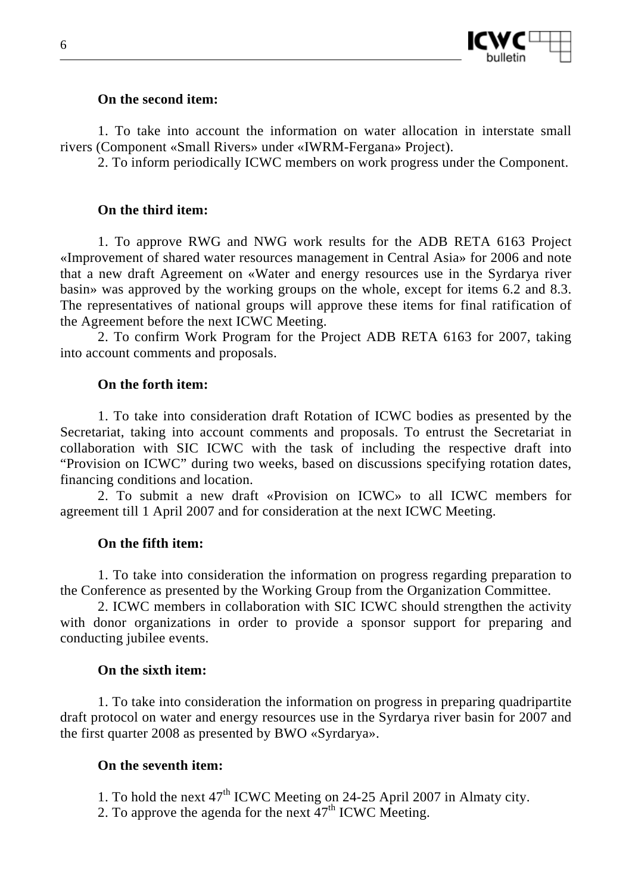

#### **On the second item:**

1. To take into account the information on water allocation in interstate small rivers (Component «Small Rivers» under «IWRM-Fergana» Project).

2. To inform periodically ICWC members on work progress under the Component.

#### **On the third item:**

1. To approve RWG and NWG work results for the ADB RETA 6163 Project «Improvement of shared water resources management in Central Asia» for 2006 and note that a new draft Agreement on «Water and energy resources use in the Syrdarya river basin» was approved by the working groups on the whole, except for items 6.2 and 8.3. The representatives of national groups will approve these items for final ratification of the Agreement before the next ICWC Meeting.

2. To confirm Work Program for the Project ADB RETA 6163 for 2007, taking into account comments and proposals.

#### **On the forth item:**

1. To take into consideration draft Rotation of ICWC bodies as presented by the Secretariat, taking into account comments and proposals. To entrust the Secretariat in collaboration with SIC ICWC with the task of including the respective draft into "Provision on ICWC" during two weeks, based on discussions specifying rotation dates, financing conditions and location.

2. To submit a new draft «Provision on ICWC» to all ICWC members for agreement till 1 April 2007 and for consideration at the next ICWC Meeting.

#### **On the fifth item:**

1. To take into consideration the information on progress regarding preparation to the Conference as presented by the Working Group from the Organization Committee.

2. ICWC members in collaboration with SIC ICWC should strengthen the activity with donor organizations in order to provide a sponsor support for preparing and conducting jubilee events.

#### **On the sixth item:**

1. To take into consideration the information on progress in preparing quadripartite draft protocol on water and energy resources use in the Syrdarya river basin for 2007 and the first quarter 2008 as presented by BWO «Syrdarya».

#### **On the seventh item:**

- 1. To hold the next  $47<sup>th</sup>$  ICWC Meeting on 24-25 April 2007 in Almaty city.
- 2. To approve the agenda for the next  $47<sup>th</sup>$  ICWC Meeting.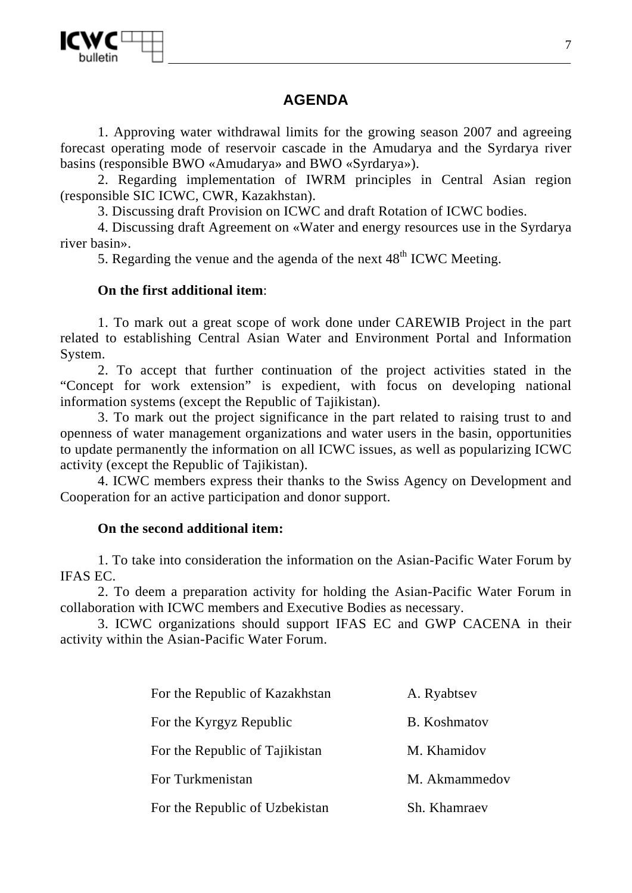

## **AGENDA**

1. Approving water withdrawal limits for the growing season 2007 and agreeing forecast operating mode of reservoir cascade in the Amudarya and the Syrdarya river basins (responsible BWO «Amudarya» and BWO «Syrdarya»).

2. Regarding implementation of IWRM principles in Central Asian region (responsible SIC ICWC, CWR, Kazakhstan).

3. Discussing draft Provision on ICWC and draft Rotation of ICWC bodies.

4. Discussing draft Agreement on «Water and energy resources use in the Syrdarya river basin».

5. Regarding the venue and the agenda of the next  $48<sup>th</sup>$  ICWC Meeting.

### **On the first additional item**:

1. To mark out a great scope of work done under CAREWIB Project in the part related to establishing Central Asian Water and Environment Portal and Information System.

2. To accept that further continuation of the project activities stated in the "Concept for work extension" is expedient, with focus on developing national information systems (except the Republic of Tajikistan).

3. To mark out the project significance in the part related to raising trust to and openness of water management organizations and water users in the basin, opportunities to update permanently the information on all ICWC issues, as well as popularizing ICWC activity (except the Republic of Tajikistan).

4. ICWC members express their thanks to the Swiss Agency on Development and Cooperation for an active participation and donor support.

### **On the second additional item:**

1. To take into consideration the information on the Asian-Pacific Water Forum by IFAS EC.

2. To deem a preparation activity for holding the Asian-Pacific Water Forum in collaboration with ICWC members and Executive Bodies as necessary.

3. ICWC organizations should support IFAS EC and GWP CACENA in their activity within the Asian-Pacific Water Forum.

| For the Republic of Kazakhstan | A. Ryabtsev   |
|--------------------------------|---------------|
| For the Kyrgyz Republic        | B. Koshmatov  |
| For the Republic of Tajikistan | M. Khamidov   |
| For Turkmenistan               | M. Akmammedov |
| For the Republic of Uzbekistan | Sh. Khamraev  |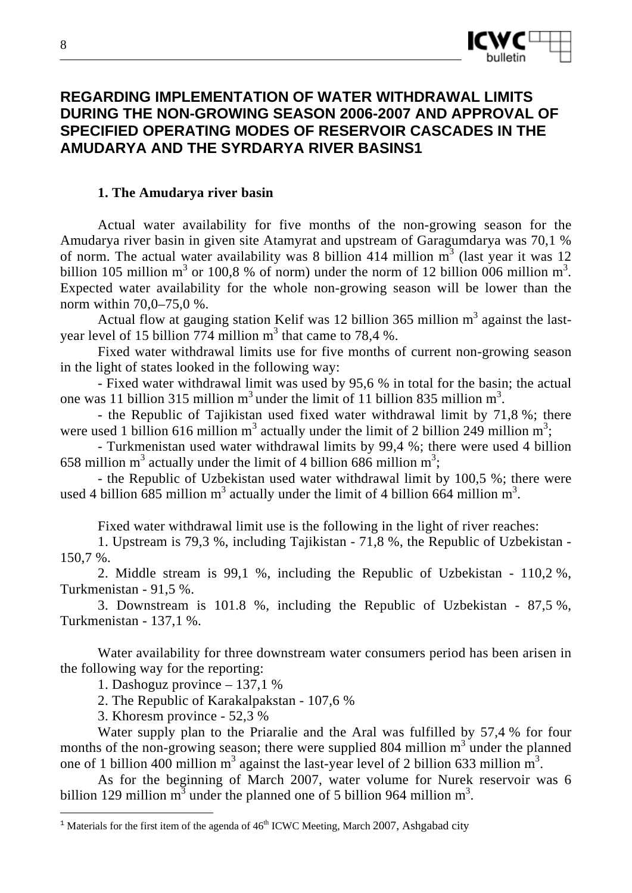

## **REGARDING IMPLEMENTATION OF WATER WITHDRAWAL LIMITS DURING THE NON-GROWING SEASON 2006-2007 AND APPROVAL OF SPECIFIED OPERATING MODES OF RESERVOIR CASCADES IN THE AMUDARYA AND THE SYRDARYA RIVER BASINS1**

#### **1. The Amudarya river basin**

Actual water availability for five months of the non-growing season for the Amudarya river basin in given site Atamyrat and upstream of Garagumdarya was 70,1 % of norm. The actual water availability was 8 billion 414 million  $m<sup>3</sup>$  (last year it was 12 billion 105 million  $m^3$  or 100,8 % of norm) under the norm of 12 billion 006 million  $m^3$ . Expected water availability for the whole non-growing season will be lower than the norm within 70,0–75,0 %.

Actual flow at gauging station Kelif was 12 billion  $365$  million m<sup>3</sup> against the lastyear level of 15 billion  $774$  million m<sup>3</sup> that came to 78,4 %.

Fixed water withdrawal limits use for five months of current non-growing season in the light of states looked in the following way:

- Fixed water withdrawal limit was used by 95,6 % in total for the basin; the actual one was 11 billion 315 million  $m<sup>3</sup>$  under the limit of 11 billion 835 million  $m<sup>3</sup>$ .

- the Republic of Tajikistan used fixed water withdrawal limit by 71,8 %; there were used 1 billion 616 million m<sup>3</sup> actually under the limit of 2 billion 249 million m<sup>3</sup>;

- Turkmenistan used water withdrawal limits by 99,4 %; there were used 4 billion 658 million m<sup>3</sup> actually under the limit of 4 billion 686 million m<sup>3</sup>;

- the Republic of Uzbekistan used water withdrawal limit by 100,5 %; there were used 4 billion  $\frac{685}{100}$  million m<sup>3</sup> actually under the limit of 4 billion 664 million m<sup>3</sup>.

Fixed water withdrawal limit use is the following in the light of river reaches:

1. Upstream is 79,3 %, including Tajikistan - 71,8 %, the Republic of Uzbekistan - 150,7 %.

2. Middle stream is 99,1 %, including the Republic of Uzbekistan - 110,2 %, Turkmenistan - 91,5 %.

3. Downstream is 101.8 %, including the Republic of Uzbekistan - 87,5 %, Turkmenistan - 137,1 %.

Water availability for three downstream water consumers period has been arisen in the following way for the reporting:

1. Dashoguz province – 137,1 %

2. The Republic of Karakalpakstan - 107,6 %

3. Khoresm province - 52,3 %

 $\overline{a}$ 

Water supply plan to the Priaralie and the Aral was fulfilled by 57,4 % for four months of the non-growing season; there were supplied 804 million  $m<sup>3</sup>$  under the planned one of 1 billion 400 million  $m^3$  against the last-year level of 2 billion 633 million  $m^3$ .

As for the beginning of March 2007, water volume for Nurek reservoir was 6 billion 129 million  $m^3$  under the planned one of 5 billion 964 million  $m^3$ .

<sup>&</sup>lt;sup>1</sup> Materials for the first item of the agenda of  $46<sup>th</sup>$  ICWC Meeting, March 2007, Ashgabad city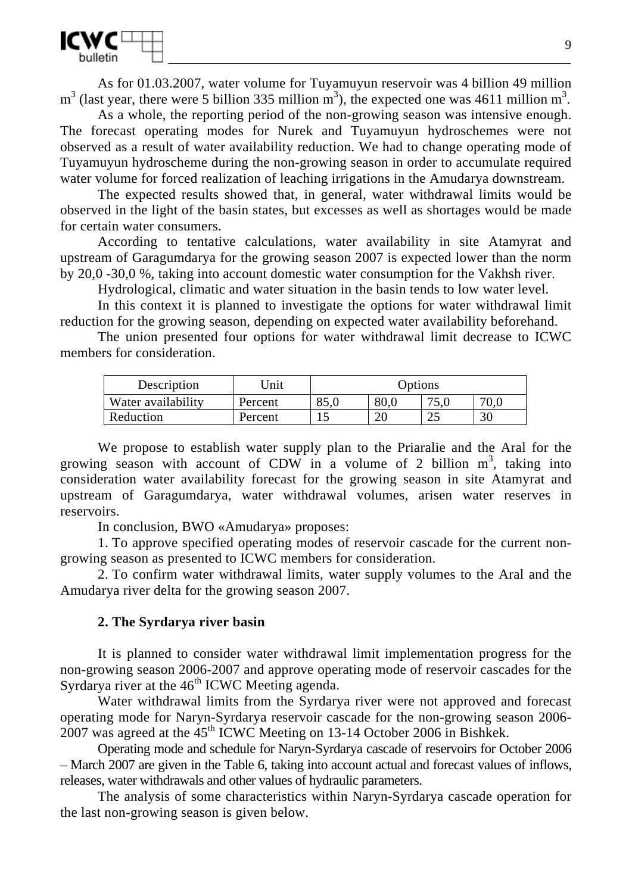

As for 01.03.2007, water volume for Tuyamuyun reservoir was 4 billion 49 million  $m<sup>3</sup>$  (last year, there were 5 billion 335 million  $m<sup>3</sup>$ ), the expected one was 4611 million  $m<sup>3</sup>$ .

As a whole, the reporting period of the non-growing season was intensive enough. The forecast operating modes for Nurek and Tuyamuyun hydroschemes were not observed as a result of water availability reduction. We had to change operating mode of Tuyamuyun hydroscheme during the non-growing season in order to accumulate required water volume for forced realization of leaching irrigations in the Amudarya downstream.

The expected results showed that, in general, water withdrawal limits would be observed in the light of the basin states, but excesses as well as shortages would be made for certain water consumers.

According to tentative calculations, water availability in site Atamyrat and upstream of Garagumdarya for the growing season 2007 is expected lower than the norm by 20,0 -30,0 %, taking into account domestic water consumption for the Vakhsh river.

Hydrological, climatic and water situation in the basin tends to low water level.

In this context it is planned to investigate the options for water withdrawal limit reduction for the growing season, depending on expected water availability beforehand.

The union presented four options for water withdrawal limit decrease to ICWC members for consideration.

| Description        | Unit    | Options |               |            |      |
|--------------------|---------|---------|---------------|------------|------|
| Water availability | Percent | 85,0    | 80,0          | ∴ ບ. ບ     | 70,0 |
| Reduction          | Percent |         | $\mathcal{D}$ | າ ເ<br>ل ک | 30   |

We propose to establish water supply plan to the Priaralie and the Aral for the growing season with account of CDW in a volume of 2 billion  $m^3$ , taking into consideration water availability forecast for the growing season in site Atamyrat and upstream of Garagumdarya, water withdrawal volumes, arisen water reserves in reservoirs.

In conclusion, BWO «Amudarya» proposes:

1. To approve specified operating modes of reservoir cascade for the current nongrowing season as presented to ICWC members for consideration.

2. To confirm water withdrawal limits, water supply volumes to the Aral and the Amudarya river delta for the growing season 2007.

#### **2. The Syrdarya river basin**

It is planned to consider water withdrawal limit implementation progress for the non-growing season 2006-2007 and approve operating mode of reservoir cascades for the Syrdarya river at the  $46<sup>th</sup>$  ICWC Meeting agenda.

Water withdrawal limits from the Syrdarya river were not approved and forecast operating mode for Naryn-Syrdarya reservoir cascade for the non-growing season 2006-  $2007$  was agreed at the  $45<sup>th</sup>$  ICWC Meeting on 13-14 October 2006 in Bishkek.

Operating mode and schedule for Naryn-Syrdarya cascade of reservoirs for October 2006 – March 2007 are given in the Table 6, taking into account actual and forecast values of inflows, releases, water withdrawals and other values of hydraulic parameters.

The analysis of some characteristics within Naryn-Syrdarya cascade operation for the last non-growing season is given below.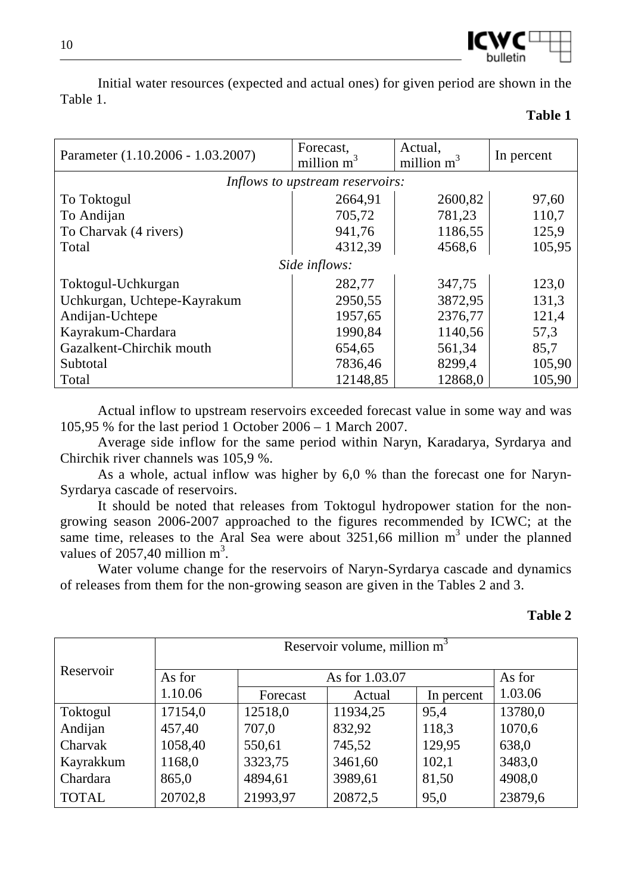

Initial water resources (expected and actual ones) for given period are shown in the Table 1.

#### **Table 1**

| Parameter (1.10.2006 - 1.03.2007) | Forecast,<br>million $m^3$      | Actual,<br>million $m^3$ | In percent |  |  |
|-----------------------------------|---------------------------------|--------------------------|------------|--|--|
|                                   | Inflows to upstream reservoirs: |                          |            |  |  |
| To Toktogul                       | 2664,91                         | 2600,82                  | 97,60      |  |  |
| To Andijan                        | 705,72                          | 781,23                   | 110,7      |  |  |
| To Charvak (4 rivers)             | 941,76                          | 1186,55                  | 125,9      |  |  |
| Total                             | 4312,39                         | 4568,6                   | 105,95     |  |  |
| Side inflows:                     |                                 |                          |            |  |  |
| Toktogul-Uchkurgan                | 282,77                          | 347,75                   | 123,0      |  |  |
| Uchkurgan, Uchtepe-Kayrakum       | 2950,55                         | 3872,95                  | 131,3      |  |  |
| Andijan-Uchtepe                   | 1957,65                         | 2376,77                  | 121,4      |  |  |
| Kayrakum-Chardara                 | 1990,84                         | 1140,56                  | 57,3       |  |  |
| Gazalkent-Chirchik mouth          | 654,65                          | 561,34                   | 85,7       |  |  |
| Subtotal                          | 7836,46                         | 8299,4                   | 105,90     |  |  |
| Total                             | 12148,85                        | 12868,0                  | 105,90     |  |  |

Actual inflow to upstream reservoirs exceeded forecast value in some way and was 105,95 % for the last period 1 October 2006 – 1 March 2007.

Average side inflow for the same period within Naryn, Karadarya, Syrdarya and Chirchik river channels was 105,9 %.

As a whole, actual inflow was higher by 6,0 % than the forecast one for Naryn-Syrdarya cascade of reservoirs.

It should be noted that releases from Toktogul hydropower station for the nongrowing season 2006-2007 approached to the figures recommended by ICWC; at the same time, releases to the Aral Sea were about  $3251,66$  million m<sup>3</sup> under the planned values of 2057,40 million  $m^3$ .

Water volume change for the reservoirs of Naryn-Syrdarya cascade and dynamics of releases from them for the non-growing season are given in the Tables 2 and 3.

| anı |  |
|-----|--|
|-----|--|

|              | Reservoir volume, million $m3$ |                          |          |            |         |
|--------------|--------------------------------|--------------------------|----------|------------|---------|
| Reservoir    | As for                         | As for 1.03.07<br>As for |          |            |         |
|              | 1.10.06                        | Forecast                 | Actual   | In percent | 1.03.06 |
| Toktogul     | 17154,0                        | 12518,0                  | 11934,25 | 95,4       | 13780,0 |
| Andijan      | 457,40                         | 707,0                    | 832,92   | 118,3      | 1070,6  |
| Charvak      | 1058,40                        | 550,61                   | 745,52   | 129,95     | 638,0   |
| Kayrakkum    | 1168,0                         | 3323,75                  | 3461,60  | 102,1      | 3483,0  |
| Chardara     | 865,0                          | 4894,61                  | 3989,61  | 81,50      | 4908,0  |
| <b>TOTAL</b> | 20702,8                        | 21993,97                 | 20872,5  | 95,0       | 23879,6 |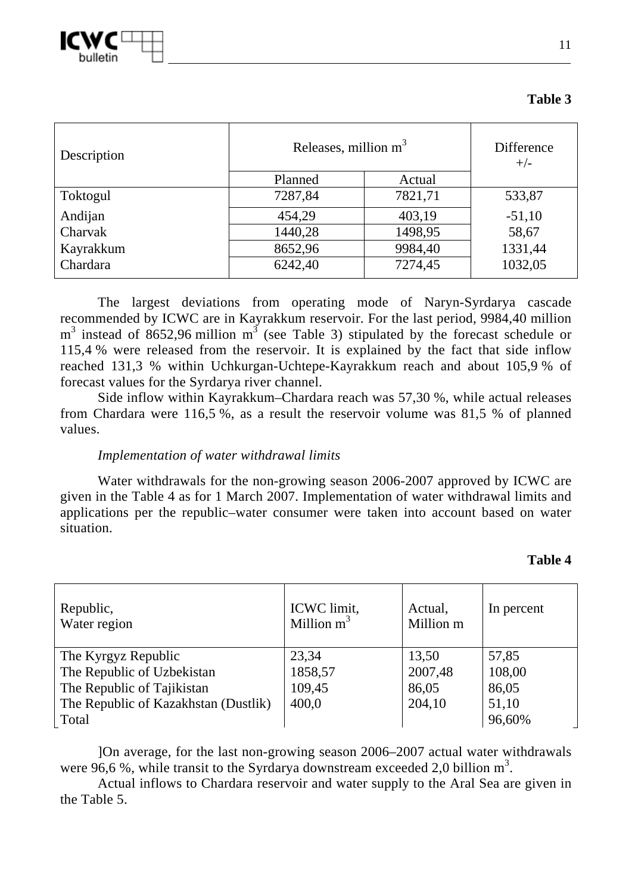

| Description | Releases, million $m^3$ | Difference<br>$+/-$ |          |
|-------------|-------------------------|---------------------|----------|
|             | Planned                 | Actual              |          |
| Toktogul    | 7287,84                 | 7821,71             | 533,87   |
| Andijan     | 454,29                  | 403,19              | $-51,10$ |
| Charvak     | 1440,28                 | 1498,95             | 58,67    |
| Kayrakkum   | 8652,96                 | 9984,40             | 1331,44  |
| Chardara    | 6242,40                 | 7274,45             | 1032,05  |

**Table 3** 

The largest deviations from operating mode of Naryn-Syrdarya cascade recommended by ICWC are in Kayrakkum reservoir. For the last period, 9984,40 million  $m<sup>3</sup>$  instead of 8652,96 million  $m<sup>3</sup>$  (see Table 3) stipulated by the forecast schedule or 115,4 % were released from the reservoir. It is explained by the fact that side inflow reached 131,3 % within Uchkurgan-Uchtepe-Kayrakkum reach and about 105,9 % of forecast values for the Syrdarya river channel.

Side inflow within Kayrakkum–Chardara reach was 57,30 %, while actual releases from Chardara were 116,5 %, as a result the reservoir volume was 81,5 % of planned values.

#### *Implementation of water withdrawal limits*

Water withdrawals for the non-growing season 2006-2007 approved by ICWC are given in the Table 4 as for 1 March 2007. Implementation of water withdrawal limits and applications per the republic–water consumer were taken into account based on water situation.

#### **Table 4**

| Republic,<br>Water region            | ICWC limit,<br>Million $m^3$ | Actual,<br>Million m | In percent |
|--------------------------------------|------------------------------|----------------------|------------|
| The Kyrgyz Republic                  | 23,34                        | 13,50                | 57,85      |
| The Republic of Uzbekistan           | 1858,57                      | 2007,48              | 108,00     |
| The Republic of Tajikistan           | 109,45                       | 86,05                | 86,05      |
| The Republic of Kazakhstan (Dustlik) | 400,0                        | 204,10               | 51,10      |
| Total                                |                              |                      | 96,60%     |

]On average, for the last non-growing season 2006–2007 actual water withdrawals were 96,6 %, while transit to the Syrdarya downstream exceeded 2,0 billion  $m^3$ .

Actual inflows to Chardara reservoir and water supply to the Aral Sea are given in the Table 5.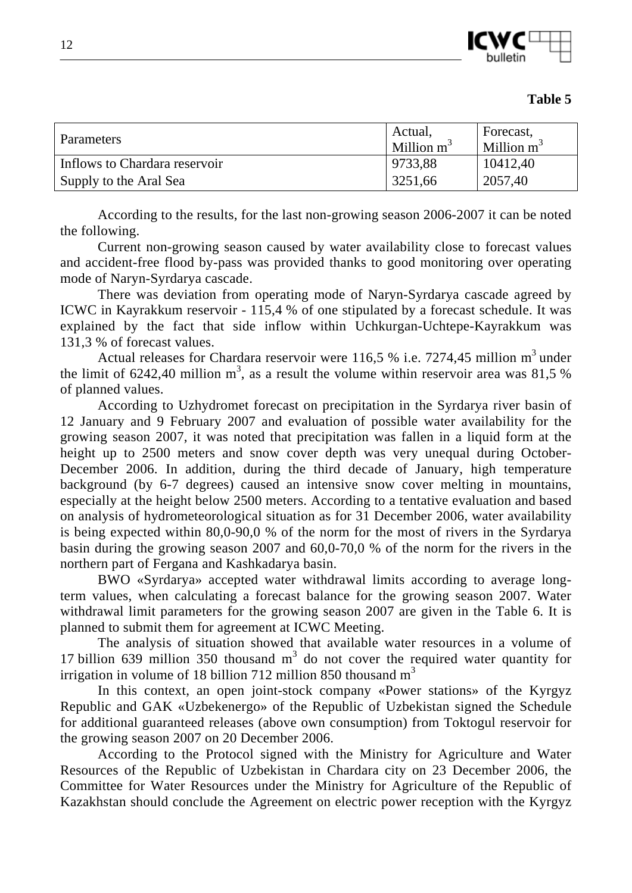

| Parameters                    | Actual,<br>$\blacksquare$ Million m <sup>3</sup> | Forecast,<br>$\blacksquare$ Million m <sup>3</sup> |
|-------------------------------|--------------------------------------------------|----------------------------------------------------|
| Inflows to Chardara reservoir | 9733,88                                          | 10412,40                                           |
| Supply to the Aral Sea        | 3251,66                                          | 2057,40                                            |

According to the results, for the last non-growing season 2006-2007 it can be noted the following.

Current non-growing season caused by water availability close to forecast values and accident-free flood by-pass was provided thanks to good monitoring over operating mode of Naryn-Syrdarya cascade.

There was deviation from operating mode of Naryn-Syrdarya cascade agreed by ICWC in Kayrakkum reservoir - 115,4 % of one stipulated by a forecast schedule. It was explained by the fact that side inflow within Uchkurgan-Uchtepe-Kayrakkum was 131,3 % of forecast values.

Actual releases for Chardara reservoir were 116,5 % i.e.  $7274,45$  million m<sup>3</sup> under the limit of 6242,40 million m<sup>3</sup>, as a result the volume within reservoir area was 81,5 % of planned values.

According to Uzhydromet forecast on precipitation in the Syrdarya river basin of 12 January and 9 February 2007 and evaluation of possible water availability for the growing season 2007, it was noted that precipitation was fallen in a liquid form at the height up to 2500 meters and snow cover depth was very unequal during October-December 2006. In addition, during the third decade of January, high temperature background (by 6-7 degrees) caused an intensive snow cover melting in mountains, especially at the height below 2500 meters. According to a tentative evaluation and based on analysis of hydrometeorological situation as for 31 December 2006, water availability is being expected within 80,0-90,0 % of the norm for the most of rivers in the Syrdarya basin during the growing season 2007 and 60,0-70,0 % of the norm for the rivers in the northern part of Fergana and Kashkadarya basin.

BWO «Syrdarya» accepted water withdrawal limits according to average longterm values, when calculating a forecast balance for the growing season 2007. Water withdrawal limit parameters for the growing season 2007 are given in the Table 6. It is planned to submit them for agreement at ICWC Meeting.

The analysis of situation showed that available water resources in a volume of 17 billion 639 million 350 thousand  $m<sup>3</sup>$  do not cover the required water quantity for irrigation in volume of 18 billion 712 million 850 thousand  $m<sup>3</sup>$ 

In this context, an open joint-stock company «Power stations» of the Kyrgyz Republic and GAK «Uzbekenergo» of the Republic of Uzbekistan signed the Schedule for additional guaranteed releases (above own consumption) from Toktogul reservoir for the growing season 2007 on 20 December 2006.

According to the Protocol signed with the Ministry for Agriculture and Water Resources of the Republic of Uzbekistan in Chardara city on 23 December 2006, the Committee for Water Resources under the Ministry for Agriculture of the Republic of Kazakhstan should conclude the Agreement on electric power reception with the Kyrgyz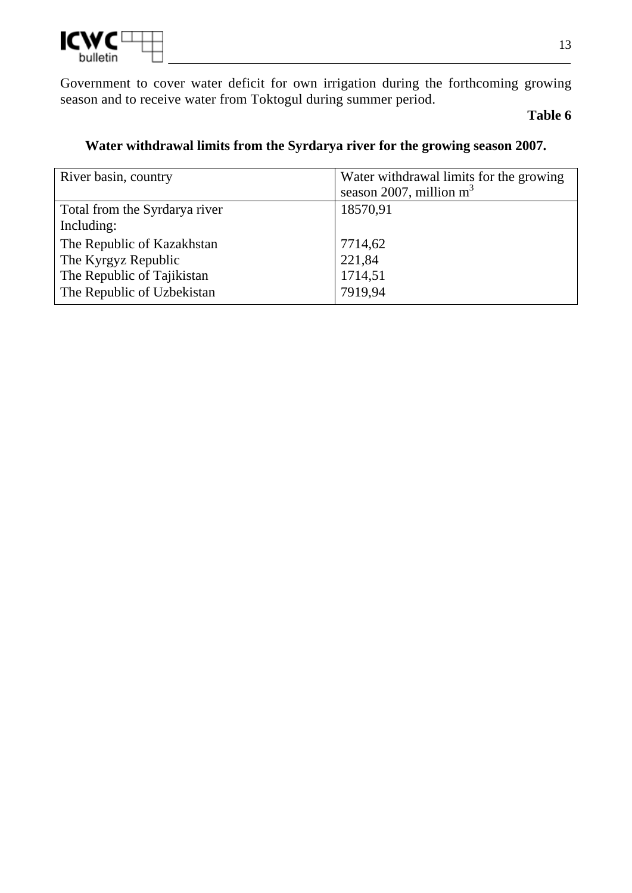

Government to cover water deficit for own irrigation during the forthcoming growing season and to receive water from Toktogul during summer period.

## **Table 6**

| River basin, country          | Water withdrawal limits for the growing |  |
|-------------------------------|-----------------------------------------|--|
|                               | season 2007, million $m3$               |  |
| Total from the Syrdarya river | 18570,91                                |  |
| Including:                    |                                         |  |
| The Republic of Kazakhstan    | 7714,62                                 |  |
| The Kyrgyz Republic           | 221,84                                  |  |
| The Republic of Tajikistan    | 1714,51                                 |  |
| The Republic of Uzbekistan    | 7919,94                                 |  |
|                               |                                         |  |

## **Water withdrawal limits from the Syrdarya river for the growing season 2007.**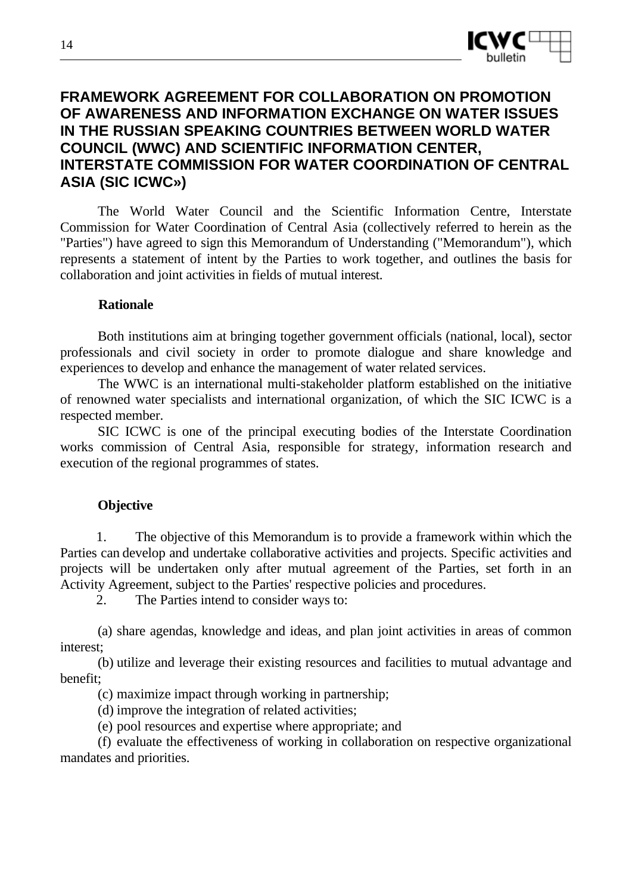

## **FRAMEWORK AGREEMENT FOR COLLABORATION ON PROMOTION OF AWARENESS AND INFORMATION EXCHANGE ON WATER ISSUES IN THE RUSSIAN SPEAKING COUNTRIES BETWEEN WORLD WATER COUNCIL (WWC) AND SCIENTIFIC INFORMATION CENTER, INTERSTATE COMMISSION FOR WATER COORDINATION OF CENTRAL ASIA (SIC ICWC»)**

The World Water Council and the Scientific Information Centre, Interstate Commission for Water Coordination of Central Asia (collectively referred to herein as the "Parties") have agreed to sign this Memorandum of Understanding ("Memorandum"), which represents a statement of intent by the Parties to work together, and outlines the basis for collaboration and joint activities in fields of mutual interest.

#### **Rationale**

Both institutions aim at bringing together government officials (national, local), sector professionals and civil society in order to promote dialogue and share knowledge and experiences to develop and enhance the management of water related services.

The WWC is an international multi-stakeholder platform established on the initiative of renowned water specialists and international organization, of which the SIC ICWC is a respected member.

SIC ICWC is one of the principal executing bodies of the Interstate Coordination works commission of Central Asia, responsible for strategy, information research and execution of the regional programmes of states.

#### **Objective**

1. The objective of this Memorandum is to provide a framework within which the Parties can develop and undertake collaborative activities and projects. Specific activities and projects will be undertaken only after mutual agreement of the Parties, set forth in an Activity Agreement, subject to the Parties' respective policies and procedures.

2. The Parties intend to consider ways to:

(a) share agendas, knowledge and ideas, and plan joint activities in areas of common interest;

(b) utilize and leverage their existing resources and facilities to mutual advantage and benefit;

(c) maximize impact through working in partnership;

(d) improve the integration of related activities;

(e) pool resources and expertise where appropriate; and

(f) evaluate the effectiveness of working in collaboration on respective organizational mandates and priorities.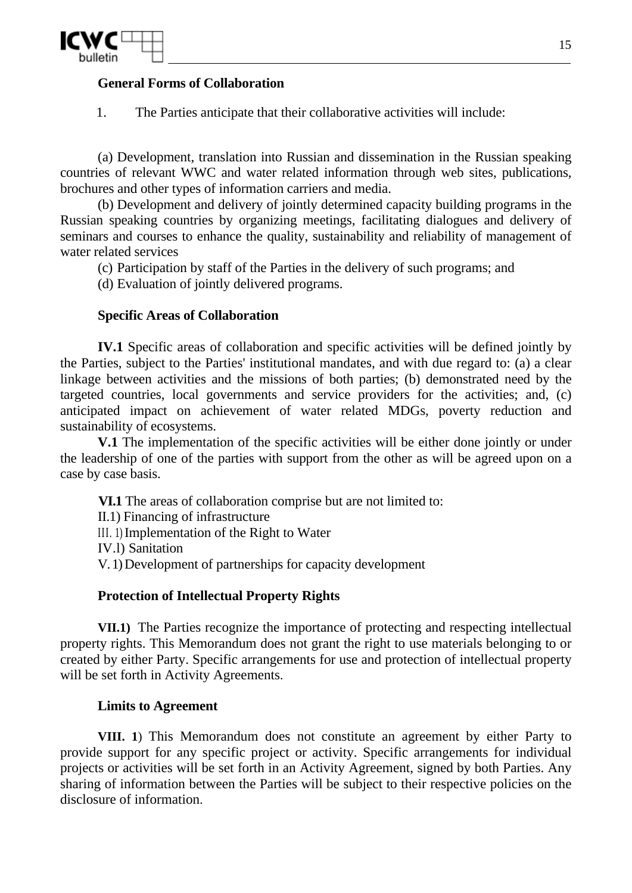

### **General Forms of Collaboration**

1. The Parties anticipate that their collaborative activities will include:

(a) Development, translation into Russian and dissemination in the Russian speaking countries of relevant WWC and water related information through web sites, publications, brochures and other types of information carriers and media.

(b) Development and delivery of jointly determined capacity building programs in the Russian speaking countries by organizing meetings, facilitating dialogues and delivery of seminars and courses to enhance the quality, sustainability and reliability of management of water related services

(c) Participation by staff of the Parties in the delivery of such programs; and

(d) Evaluation of jointly delivered programs.

### **Specific Areas of Collaboration**

**IV.1** Specific areas of collaboration and specific activities will be defined jointly by the Parties, subject to the Parties' institutional mandates, and with due regard to: (a) a clear linkage between activities and the missions of both parties; (b) demonstrated need by the targeted countries, local governments and service providers for the activities; and, (c) anticipated impact on achievement of water related MDGs, poverty reduction and sustainability of ecosystems.

**V.1** The implementation of the specific activities will be either done jointly or under the leadership of one of the parties with support from the other as will be agreed upon on a case by case basis.

**VI.1** The areas of collaboration comprise but are not limited to:

II.1) Financing of infrastructure

III. 1) Implementation of the Right to Water

IV.l) Sanitation

V. 1) Development of partnerships for capacity development

#### **Protection of Intellectual Property Rights**

**VII.1)** The Parties recognize the importance of protecting and respecting intellectual property rights. This Memorandum does not grant the right to use materials belonging to or created by either Party. Specific arrangements for use and protection of intellectual property will be set forth in Activity Agreements.

#### **Limits to Agreement**

**VIII. 1**) This Memorandum does not constitute an agreement by either Party to provide support for any specific project or activity. Specific arrangements for individual projects or activities will be set forth in an Activity Agreement, signed by both Parties. Any sharing of information between the Parties will be subject to their respective policies on the disclosure of information.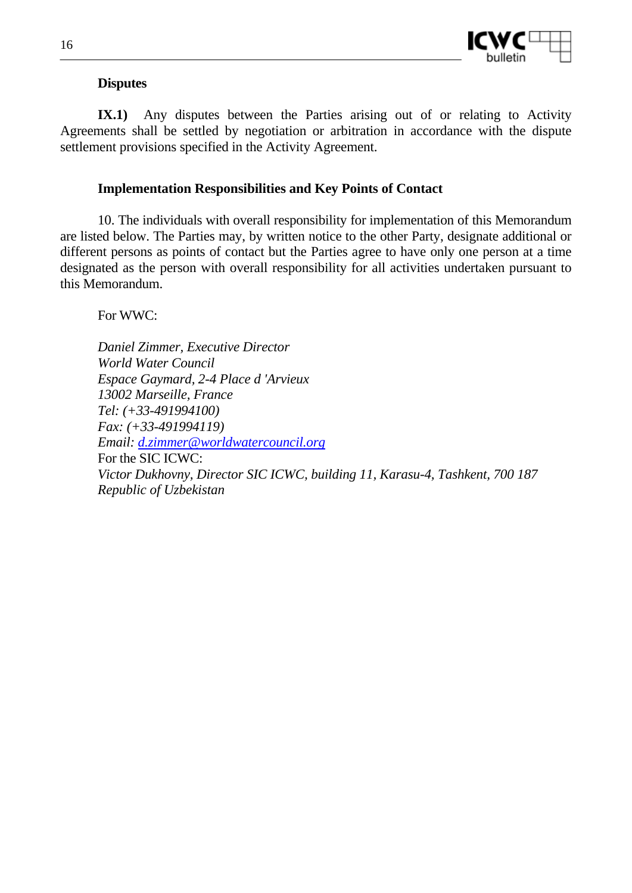

#### **Disputes**

**IX.1)** Any disputes between the Parties arising out of or relating to Activity Agreements shall be settled by negotiation or arbitration in accordance with the dispute settlement provisions specified in the Activity Agreement.

#### **Implementation Responsibilities and Key Points of Contact**

10. The individuals with overall responsibility for implementation of this Memorandum are listed below. The Parties may, by written notice to the other Party, designate additional or different persons as points of contact but the Parties agree to have only one person at a time designated as the person with overall responsibility for all activities undertaken pursuant to this Memorandum.

For WWC:

*Daniel Zimmer, Executive Director World Water Council Espace Gaymard, 2-4 Place d 'Arvieux 13002 Marseille, France Tel: (+33-491994100) Fax: (+33-491994119) Email: d.zimmer@worldwatercouncil.org*  For the SIC ICWC: *Victor Dukhovny, Director SIC ICWC, building 11, Karasu-4, Tashkent, 700 187 Republic of Uzbekistan*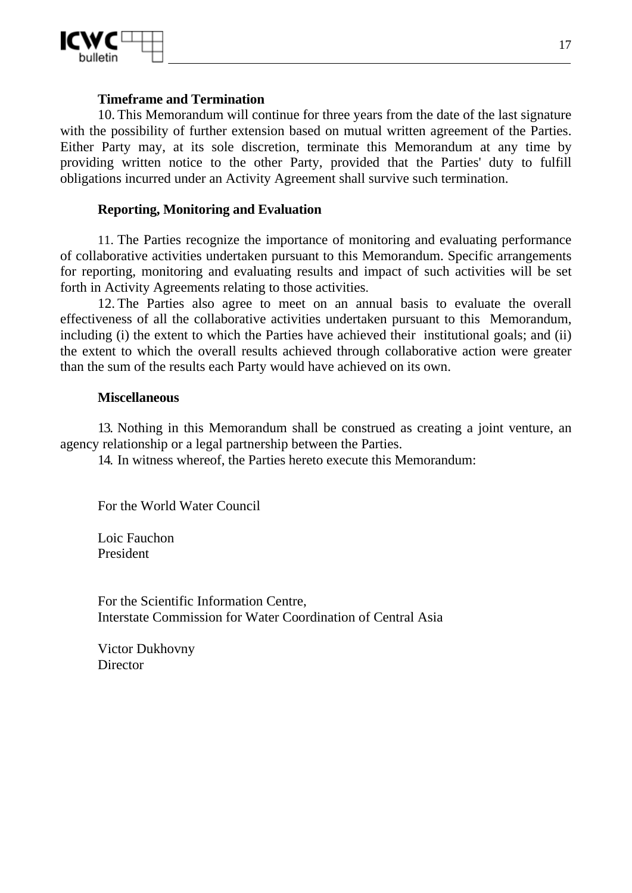

#### **Timeframe and Termination**

10. This Memorandum will continue for three years from the date of the last signature with the possibility of further extension based on mutual written agreement of the Parties. Either Party may, at its sole discretion, terminate this Memorandum at any time by providing written notice to the other Party, provided that the Parties' duty to fulfill obligations incurred under an Activity Agreement shall survive such termination.

#### **Reporting, Monitoring and Evaluation**

11. The Parties recognize the importance of monitoring and evaluating performance of collaborative activities undertaken pursuant to this Memorandum. Specific arrangements for reporting, monitoring and evaluating results and impact of such activities will be set forth in Activity Agreements relating to those activities.

12. The Parties also agree to meet on an annual basis to evaluate the overall effectiveness of all the collaborative activities undertaken pursuant to this Memorandum, including (i) the extent to which the Parties have achieved their institutional goals; and (ii) the extent to which the overall results achieved through collaborative action were greater than the sum of the results each Party would have achieved on its own.

#### **Miscellaneous**

13. Nothing in this Memorandum shall be construed as creating a joint venture, an agency relationship or a legal partnership between the Parties.

14. In witness whereof, the Parties hereto execute this Memorandum:

For the World Water Council

Loic Fauchon President

For the Scientific Information Centre, Interstate Commission for Water Coordination of Central Asia

Victor Dukhovny **Director**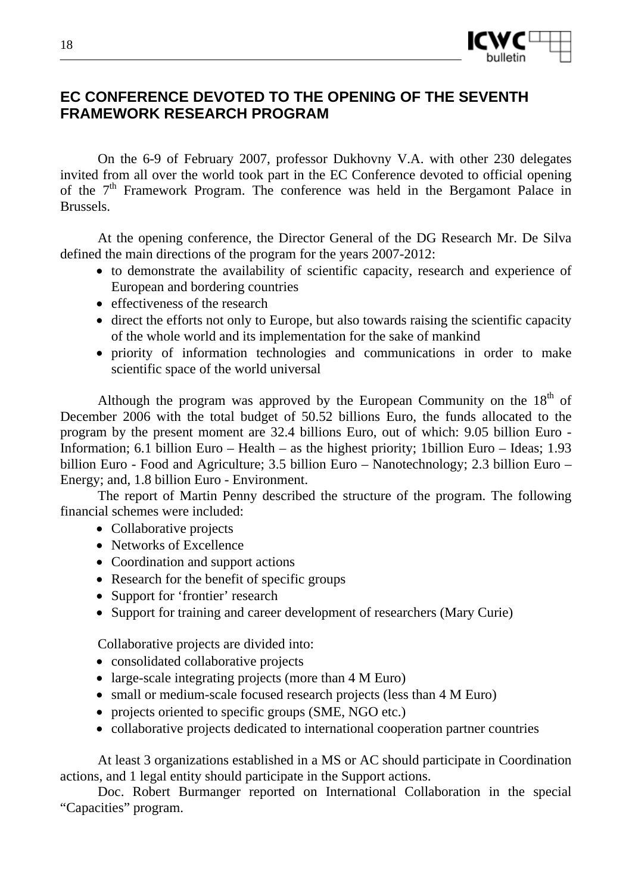

# **EC CONFERENCE DEVOTED TO THE OPENING OF THE SEVENTH FRAMEWORK RESEARCH PROGRAM**

On the 6-9 of February 2007, professor Dukhovny V.A. with other 230 delegates invited from all over the world took part in the EC Conference devoted to official opening of the  $7<sup>th</sup>$  Framework Program. The conference was held in the Bergamont Palace in Brussels.

At the opening conference, the Director General of the DG Research Mr. De Silva defined the main directions of the program for the years 2007-2012:

- to demonstrate the availability of scientific capacity, research and experience of European and bordering countries
- effectiveness of the research
- direct the efforts not only to Europe, but also towards raising the scientific capacity of the whole world and its implementation for the sake of mankind
- priority of information technologies and communications in order to make scientific space of the world universal

Although the program was approved by the European Community on the  $18<sup>th</sup>$  of December 2006 with the total budget of 50.52 billions Euro, the funds allocated to the program by the present moment are 32.4 billions Euro, out of which: 9.05 billion Euro - Information; 6.1 billion Euro – Health – as the highest priority; 1billion Euro – Ideas; 1.93 billion Euro - Food and Agriculture; 3.5 billion Euro – Nanotechnology; 2.3 billion Euro – Energy; and, 1.8 billion Euro - Environment.

The report of Martin Penny described the structure of the program. The following financial schemes were included:

- Collaborative projects
- Networks of Excellence
- Coordination and support actions
- Research for the benefit of specific groups
- Support for 'frontier' research
- Support for training and career development of researchers (Mary Curie)

Collaborative projects are divided into:

- consolidated collaborative projects
- large-scale integrating projects (more than 4 M Euro)
- small or medium-scale focused research projects (less than 4 M Euro)
- projects oriented to specific groups (SME, NGO etc.)
- collaborative projects dedicated to international cooperation partner countries

At least 3 organizations established in a MS or AC should participate in Coordination actions, and 1 legal entity should participate in the Support actions.

Doc. Robert Burmanger reported on International Collaboration in the special "Capacities" program.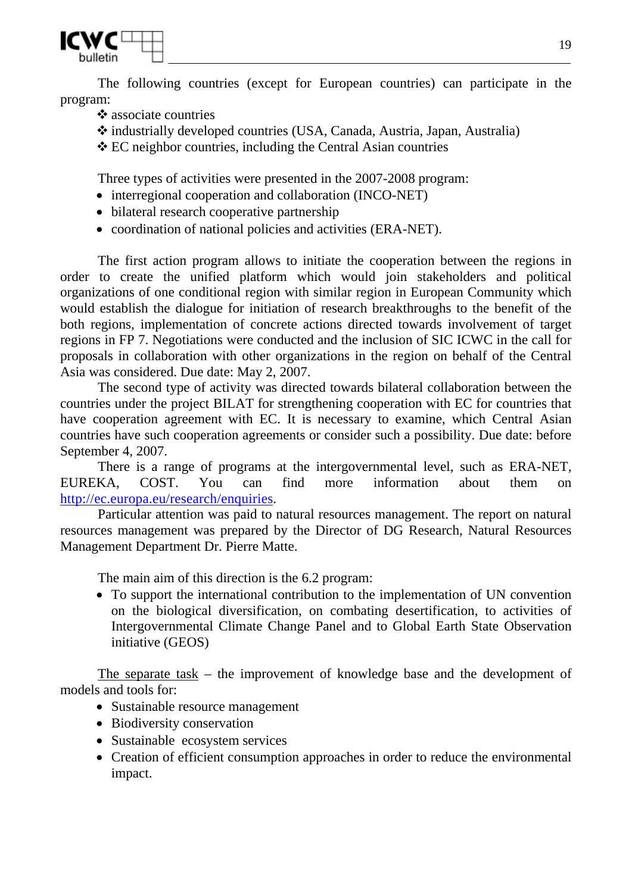

The following countries (except for European countries) can participate in the program:

- $\mathbf{\hat{\cdot}}$  associate countries
- industrially developed countries (USA, Canada, Austria, Japan, Australia)
- EC neighbor countries, including the Central Asian countries

Three types of activities were presented in the 2007-2008 program:

- interregional cooperation and collaboration (INCO-NET)
- bilateral research cooperative partnership
- coordination of national policies and activities (ERA-NET).

The first action program allows to initiate the cooperation between the regions in order to create the unified platform which would join stakeholders and political organizations of one conditional region with similar region in European Community which would establish the dialogue for initiation of research breakthroughs to the benefit of the both regions, implementation of concrete actions directed towards involvement of target regions in FP 7. Negotiations were conducted and the inclusion of SIC ICWC in the call for proposals in collaboration with other organizations in the region on behalf of the Central Asia was considered. Due date: May 2, 2007.

The second type of activity was directed towards bilateral collaboration between the countries under the project BILAT for strengthening cooperation with EC for countries that have cooperation agreement with EC. It is necessary to examine, which Central Asian countries have such cooperation agreements or consider such a possibility. Due date: before September 4, 2007.

There is a range of programs at the intergovernmental level, such as ERA-NET, EUREKA, COST. You can find more information about them on http://ec.europa.eu/research/enquiries.

Particular attention was paid to natural resources management. The report on natural resources management was prepared by the Director of DG Research, Natural Resources Management Department Dr. Pierre Matte.

The main aim of this direction is the 6.2 program:

• To support the international contribution to the implementation of UN convention on the biological diversification, on combating desertification, to activities of Intergovernmental Climate Change Panel and to Global Earth State Observation initiative (GEOS)

The separate task – the improvement of knowledge base and the development of models and tools for:

- Sustainable resource management
- Biodiversity conservation
- Sustainable ecosystem services
- Creation of efficient consumption approaches in order to reduce the environmental impact.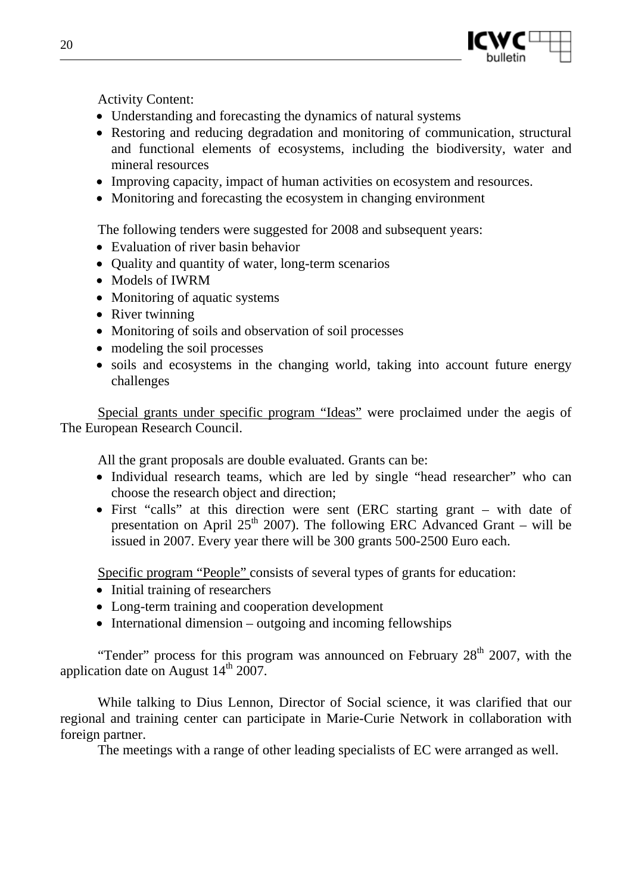

Activity Content:

- Understanding and forecasting the dynamics of natural systems
- Restoring and reducing degradation and monitoring of communication, structural and functional elements of ecosystems, including the biodiversity, water and mineral resources
- Improving capacity, impact of human activities on ecosystem and resources.
- Monitoring and forecasting the ecosystem in changing environment

The following tenders were suggested for 2008 and subsequent years:

- Evaluation of river basin behavior
- Quality and quantity of water, long-term scenarios
- Models of IWRM
- Monitoring of aquatic systems
- River twinning
- Monitoring of soils and observation of soil processes
- modeling the soil processes
- soils and ecosystems in the changing world, taking into account future energy challenges

Special grants under specific program "Ideas" were proclaimed under the aegis of The European Research Council.

All the grant proposals are double evaluated. Grants can be:

- Individual research teams, which are led by single "head researcher" who can choose the research object and direction;
- First "calls" at this direction were sent (ERC starting grant with date of presentation on April 25<sup>th</sup> 2007). The following ERC Advanced Grant – will be issued in 2007. Every year there will be 300 grants 500-2500 Euro each.

Specific program "People" consists of several types of grants for education:

- Initial training of researchers
- Long-term training and cooperation development
- International dimension outgoing and incoming fellowships

"Tender" process for this program was announced on February  $28<sup>th</sup>$  2007, with the application date on August  $14<sup>th</sup> 2007$ .

While talking to Dius Lennon, Director of Social science, it was clarified that our regional and training center can participate in Marie-Curie Network in collaboration with foreign partner.

The meetings with a range of other leading specialists of EC were arranged as well.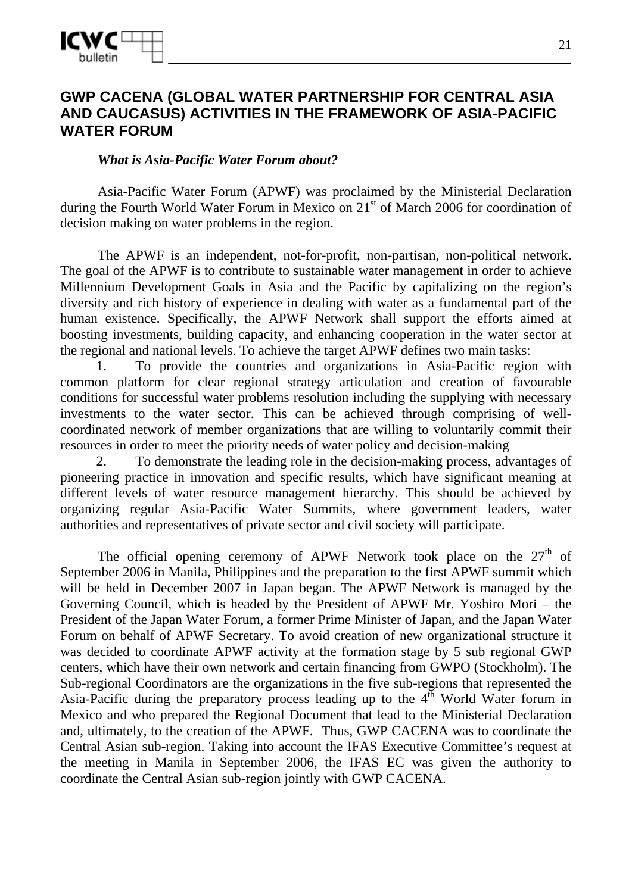

## **GWP CACENA (GLOBAL WATER PARTNERSHIP FOR CENTRAL ASIA AND CAUCASUS) ACTIVITIES IN THE FRAMEWORK OF ASIA-PACIFIC WATER FORUM**

#### *What is Asia-Pacific Water Forum about?*

Asia-Pacific Water Forum (APWF) was proclaimed by the Ministerial Declaration during the Fourth World Water Forum in Mexico on  $21<sup>st</sup>$  of March 2006 for coordination of decision making on water problems in the region.

The APWF is an independent, not-for-profit, non-partisan, non-political network. The goal of the APWF is to contribute to sustainable water management in order to achieve Millennium Development Goals in Asia and the Pacific by capitalizing on the region's diversity and rich history of experience in dealing with water as a fundamental part of the human existence. Specifically, the APWF Network shall support the efforts aimed at boosting investments, building capacity, and enhancing cooperation in the water sector at the regional and national levels. To achieve the target APWF defines two main tasks:

1. To provide the countries and organizations in Asia-Pacific region with common platform for clear regional strategy articulation and creation of favourable conditions for successful water problems resolution including the supplying with necessary investments to the water sector. This can be achieved through comprising of wellcoordinated network of member organizations that are willing to voluntarily commit their resources in order to meet the priority needs of water policy and decision-making

2. To demonstrate the leading role in the decision-making process, advantages of pioneering practice in innovation and specific results, which have significant meaning at different levels of water resource management hierarchy. This should be achieved by organizing regular Asia-Pacific Water Summits, where government leaders, water authorities and representatives of private sector and civil society will participate.

The official opening ceremony of APWF Network took place on the  $27<sup>th</sup>$  of September 2006 in Manila, Philippines and the preparation to the first APWF summit which will be held in December 2007 in Japan began. The APWF Network is managed by the Governing Council, which is headed by the President of APWF Mr. Yoshiro Mori – the President of the Japan Water Forum, a former Prime Minister of Japan, and the Japan Water Forum on behalf of APWF Secretary. To avoid creation of new organizational structure it was decided to coordinate APWF activity at the formation stage by 5 sub regional GWP centers, which have their own network and certain financing from GWPO (Stockholm). The Sub-regional Coordinators are the organizations in the five sub-regions that represented the Asia-Pacific during the preparatory process leading up to the  $4<sup>th</sup>$  World Water forum in Mexico and who prepared the Regional Document that lead to the Ministerial Declaration and, ultimately, to the creation of the APWF. Thus, GWP CACENA was to coordinate the Central Asian sub-region. Taking into account the IFAS Executive Committee's request at the meeting in Manila in September 2006, the IFAS EC was given the authority to coordinate the Central Asian sub-region jointly with GWP CACENA.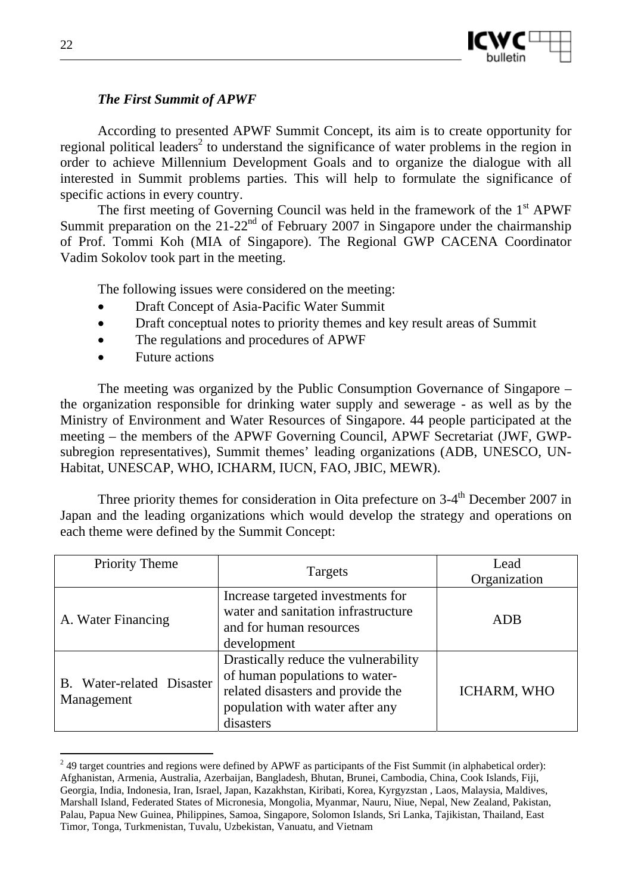

## *The First Summit of APWF*

According to presented APWF Summit Concept, its aim is to create opportunity for regional political leaders<sup>2</sup> to understand the significance of water problems in the region in order to achieve Millennium Development Goals and to organize the dialogue with all interested in Summit problems parties. This will help to formulate the significance of specific actions in every country.

The first meeting of Governing Council was held in the framework of the  $1<sup>st</sup>$  APWF Summit preparation on the  $21-22<sup>nd</sup>$  of February 2007 in Singapore under the chairmanship of Prof. Tommi Koh (MIA of Singapore). The Regional GWP CACENA Coordinator Vadim Sokolov took part in the meeting.

The following issues were considered on the meeting:

- Draft Concept of Asia-Pacific Water Summit
- Draft conceptual notes to priority themes and key result areas of Summit
- The regulations and procedures of APWF
- Future actions

The meeting was organized by the Public Consumption Governance of Singapore – the organization responsible for drinking water supply and sewerage - as well as by the Ministry of Environment and Water Resources of Singapore. 44 people participated at the meeting – the members of the APWF Governing Council, APWF Secretariat (JWF, GWPsubregion representatives), Summit themes' leading organizations (ADB, UNESCO, UN-Habitat, UNESCAP, WHO, ICHARM, IUCN, FAO, JBIC, MEWR).

Three priority themes for consideration in Oita prefecture on  $3-4<sup>th</sup>$  December 2007 in Japan and the leading organizations which would develop the strategy and operations on each theme were defined by the Summit Concept:

| <b>Priority Theme</b>                   | Targets                                                                                                                                                     | Lead<br>Organization |
|-----------------------------------------|-------------------------------------------------------------------------------------------------------------------------------------------------------------|----------------------|
| A. Water Financing                      | Increase targeted investments for<br>water and sanitation infrastructure<br>and for human resources<br>development                                          | ADB                  |
| B. Water-related Disaster<br>Management | Drastically reduce the vulnerability<br>of human populations to water-<br>related disasters and provide the<br>population with water after any<br>disasters | ICHARM, WHO          |

 $\overline{a}$  $2<sup>2</sup>$  49 target countries and regions were defined by APWF as participants of the Fist Summit (in alphabetical order): Afghanistan, Armenia, Australia, Azerbaijan, Bangladesh, Bhutan, Brunei, Cambodia, China, Cook Islands, Fiji, Georgia, India, Indonesia, Iran, Israel, Japan, Kazakhstan, Kiribati, Korea, Kyrgyzstan , Laos, Malaysia, Maldives, Marshall Island, Federated States of Micronesia, Mongolia, Myanmar, Nauru, Niue, Nepal, New Zealand, Pakistan, Palau, Papua New Guinea, Philippines, Samoa, Singapore, Solomon Islands, Sri Lanka, Tajikistan, Thailand, East Timor, Tonga, Turkmenistan, Tuvalu, Uzbekistan, Vanuatu, and Vietnam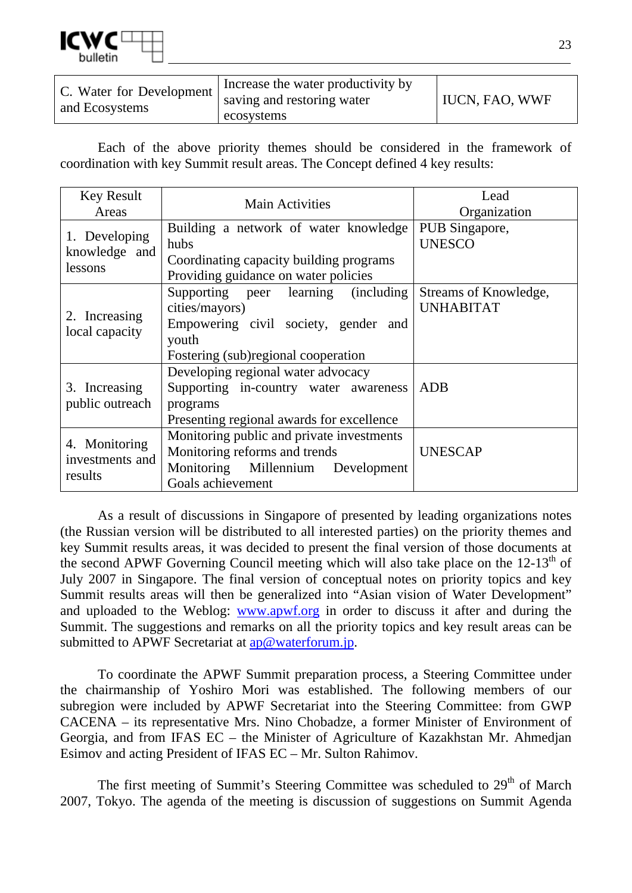

| C. Water for Development<br>and Ecosystems | Increase the water productivity by<br>saving and restoring water | <b>IUCN, FAO, WWF</b> |
|--------------------------------------------|------------------------------------------------------------------|-----------------------|
|                                            | ecosystems                                                       |                       |

Each of the above priority themes should be considered in the framework of coordination with key Summit result areas. The Concept defined 4 key results:

| <b>Key Result</b><br>Areas                  | <b>Main Activities</b>                                                                                                                        | Lead<br>Organization                      |
|---------------------------------------------|-----------------------------------------------------------------------------------------------------------------------------------------------|-------------------------------------------|
| 1. Developing<br>knowledge and<br>lessons   | Building a network of water knowledge<br>hubs<br>Coordinating capacity building programs<br>Providing guidance on water policies              | PUB Singapore,<br><b>UNESCO</b>           |
| Increasing<br>local capacity                | Supporting peer learning (including<br>cities/mayors)<br>Empowering civil society, gender and<br>youth<br>Fostering (sub)regional cooperation | Streams of Knowledge,<br><b>UNHABITAT</b> |
| 3. Increasing<br>public outreach            | Developing regional water advocacy<br>Supporting in-country water awareness<br>programs<br>Presenting regional awards for excellence          | <b>ADB</b>                                |
| 4. Monitoring<br>investments and<br>results | Monitoring public and private investments<br>Monitoring reforms and trends<br>Monitoring Millennium Development<br>Goals achievement          | <b>UNESCAP</b>                            |

As a result of discussions in Singapore of presented by leading organizations notes (the Russian version will be distributed to all interested parties) on the priority themes and key Summit results areas, it was decided to present the final version of those documents at the second APWF Governing Council meeting which will also take place on the  $12\text{-}13^{\text{th}}$  of July 2007 in Singapore. The final version of conceptual notes on priority topics and key Summit results areas will then be generalized into "Asian vision of Water Development" and uploaded to the Weblog: www.apwf.org in order to discuss it after and during the Summit. The suggestions and remarks on all the priority topics and key result areas can be submitted to APWF Secretariat at ap@waterforum.jp.

To coordinate the APWF Summit preparation process, a Steering Committee under the chairmanship of Yoshiro Mori was established. The following members of our subregion were included by APWF Secretariat into the Steering Committee: from GWP CACENA – its representative Mrs. Nino Chobadze, a former Minister of Environment of Georgia, and from IFAS EC – the Minister of Agriculture of Kazakhstan Mr. Ahmedjan Esimov and acting President of IFAS EC – Mr. Sulton Rahimov.

The first meeting of Summit's Steering Committee was scheduled to  $29<sup>th</sup>$  of March 2007, Tokyo. The agenda of the meeting is discussion of suggestions on Summit Agenda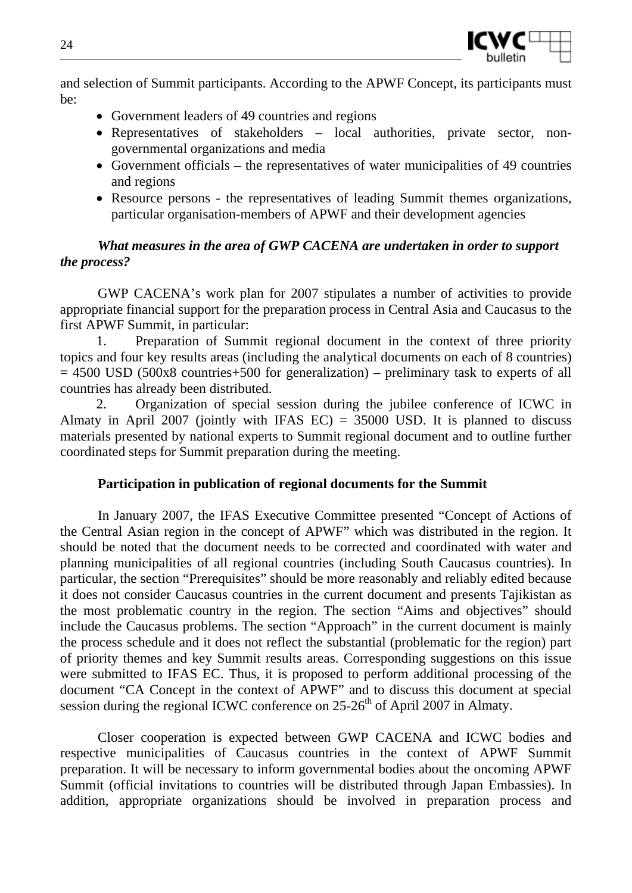

and selection of Summit participants. According to the APWF Concept, its participants must be:

- Government leaders of 49 countries and regions
- Representatives of stakeholders local authorities, private sector, nongovernmental organizations and media
- Government officials the representatives of water municipalities of 49 countries and regions
- Resource persons the representatives of leading Summit themes organizations, particular organisation-members of APWF and their development agencies

### *What measures in the area of GWP CACENA are undertaken in order to support the process?*

GWP CACENA's work plan for 2007 stipulates a number of activities to provide appropriate financial support for the preparation process in Central Asia and Caucasus to the first APWF Summit, in particular:

1. Preparation of Summit regional document in the context of three priority topics and four key results areas (including the analytical documents on each of 8 countries)  $= 4500$  USD (500x8 countries+500 for generalization) – preliminary task to experts of all countries has already been distributed.

2. Organization of special session during the jubilee conference of ICWC in Almaty in April 2007 (jointly with IFAS  $EC$ ) = 35000 USD. It is planned to discuss materials presented by national experts to Summit regional document and to outline further coordinated steps for Summit preparation during the meeting.

#### **Participation in publication of regional documents for the Summit**

In January 2007, the IFAS Executive Committee presented "Concept of Actions of the Central Asian region in the concept of APWF" which was distributed in the region. It should be noted that the document needs to be corrected and coordinated with water and planning municipalities of all regional countries (including South Caucasus countries). In particular, the section "Prerequisites" should be more reasonably and reliably edited because it does not consider Caucasus countries in the current document and presents Tajikistan as the most problematic country in the region. The section "Aims and objectives" should include the Caucasus problems. The section "Approach" in the current document is mainly the process schedule and it does not reflect the substantial (problematic for the region) part of priority themes and key Summit results areas. Corresponding suggestions on this issue were submitted to IFAS EC. Thus, it is proposed to perform additional processing of the document "CA Concept in the context of APWF" and to discuss this document at special session during the regional ICWC conference on  $25{\text -}26^{\text{th}}$  of April 2007 in Almaty.

Closer cooperation is expected between GWP CACENA and ICWC bodies and respective municipalities of Caucasus countries in the context of APWF Summit preparation. It will be necessary to inform governmental bodies about the oncoming APWF Summit (official invitations to countries will be distributed through Japan Embassies). In addition, appropriate organizations should be involved in preparation process and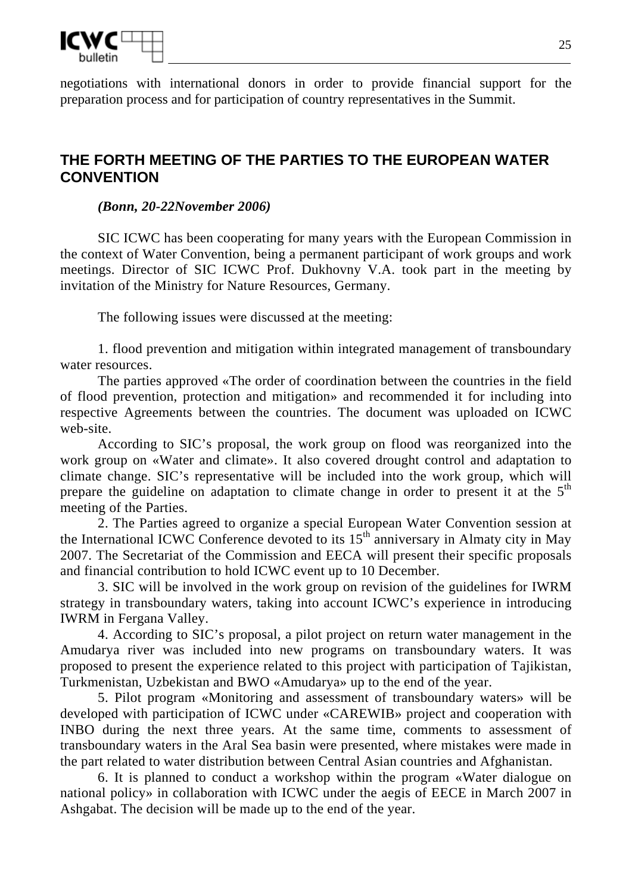

negotiations with international donors in order to provide financial support for the preparation process and for participation of country representatives in the Summit.

## **THE FORTH MEETING OF THE PARTIES TO THE EUROPEAN WATER CONVENTION**

#### *(Bonn, 20-22November 2006)*

SIC ICWC has been cooperating for many years with the European Commission in the context of Water Convention, being a permanent participant of work groups and work meetings. Director of SIC ICWC Prof. Dukhovny V.A. took part in the meeting by invitation of the Ministry for Nature Resources, Germany.

The following issues were discussed at the meeting:

1. flood prevention and mitigation within integrated management of transboundary water resources.

The parties approved «The order of coordination between the countries in the field of flood prevention, protection and mitigation» and recommended it for including into respective Agreements between the countries. The document was uploaded on ICWC web-site.

According to SIC's proposal, the work group on flood was reorganized into the work group on «Water and climate». It also covered drought control and adaptation to climate change. SIC's representative will be included into the work group, which will prepare the guideline on adaptation to climate change in order to present it at the  $5<sup>th</sup>$ meeting of the Parties.

2. The Parties agreed to organize a special European Water Convention session at the International ICWC Conference devoted to its  $15<sup>th</sup>$  anniversary in Almaty city in May 2007. The Secretariat of the Commission and EECA will present their specific proposals and financial contribution to hold ICWC event up to 10 December.

3. SIC will be involved in the work group on revision of the guidelines for IWRM strategy in transboundary waters, taking into account ICWC's experience in introducing IWRM in Fergana Valley.

4. According to SIC's proposal, a pilot project on return water management in the Amudarya river was included into new programs on transboundary waters. It was proposed to present the experience related to this project with participation of Tajikistan, Turkmenistan, Uzbekistan and BWO «Amudarya» up to the end of the year.

5. Pilot program «Monitoring and assessment of transboundary waters» will be developed with participation of ICWC under «CAREWIB» project and cooperation with INBO during the next three years. At the same time, comments to assessment of transboundary waters in the Aral Sea basin were presented, where mistakes were made in the part related to water distribution between Central Asian countries and Afghanistan.

6. It is planned to conduct a workshop within the program «Water dialogue on national policy» in collaboration with ICWC under the aegis of EECE in March 2007 in Ashgabat. The decision will be made up to the end of the year.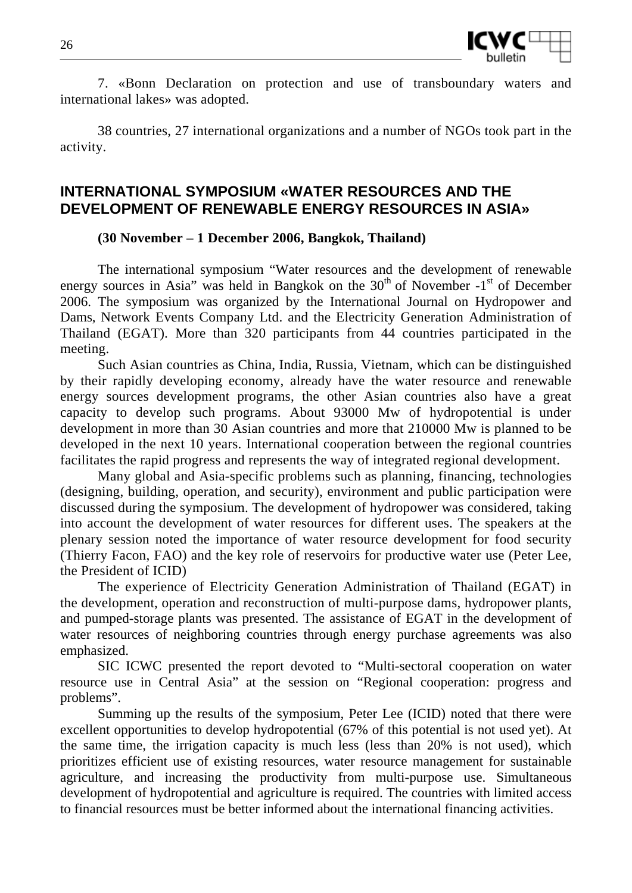

7. «Bonn Declaration on protection and use of transboundary waters and international lakes» was adopted.

38 countries, 27 international organizations and a number of NGOs took part in the activity.

## **INTERNATIONAL SYMPOSIUM «WATER RESOURCES AND THE DEVELOPMENT OF RENEWABLE ENERGY RESOURCES IN ASIA»**

### **(30 November – 1 December 2006, Bangkok, Thailand)**

The international symposium "Water resources and the development of renewable energy sources in Asia" was held in Bangkok on the  $30<sup>th</sup>$  of November  $-1<sup>st</sup>$  of December 2006. The symposium was organized by the International Journal on Hydropower and Dams, Network Events Company Ltd. and the Electricity Generation Administration of Thailand (EGAT). More than 320 participants from 44 countries participated in the meeting.

Such Asian countries as China, India, Russia, Vietnam, which can be distinguished by their rapidly developing economy, already have the water resource and renewable energy sources development programs, the other Asian countries also have a great capacity to develop such programs. About 93000 Mw of hydropotential is under development in more than 30 Asian countries and more that 210000 Mw is planned to be developed in the next 10 years. International cooperation between the regional countries facilitates the rapid progress and represents the way of integrated regional development.

Many global and Asia-specific problems such as planning, financing, technologies (designing, building, operation, and security), environment and public participation were discussed during the symposium. The development of hydropower was considered, taking into account the development of water resources for different uses. The speakers at the plenary session noted the importance of water resource development for food security (Thierry Facon, FAO) and the key role of reservoirs for productive water use (Peter Lee, the President of ICID)

The experience of Electricity Generation Administration of Thailand (EGAT) in the development, operation and reconstruction of multi-purpose dams, hydropower plants, and pumped-storage plants was presented. The assistance of EGAT in the development of water resources of neighboring countries through energy purchase agreements was also emphasized.

SIC ICWC presented the report devoted to "Multi-sectoral cooperation on water resource use in Central Asia" at the session on "Regional cooperation: progress and problems".

Summing up the results of the symposium, Peter Lee (ICID) noted that there were excellent opportunities to develop hydropotential (67% of this potential is not used yet). At the same time, the irrigation capacity is much less (less than 20% is not used), which prioritizes efficient use of existing resources, water resource management for sustainable agriculture, and increasing the productivity from multi-purpose use. Simultaneous development of hydropotential and agriculture is required. The countries with limited access to financial resources must be better informed about the international financing activities.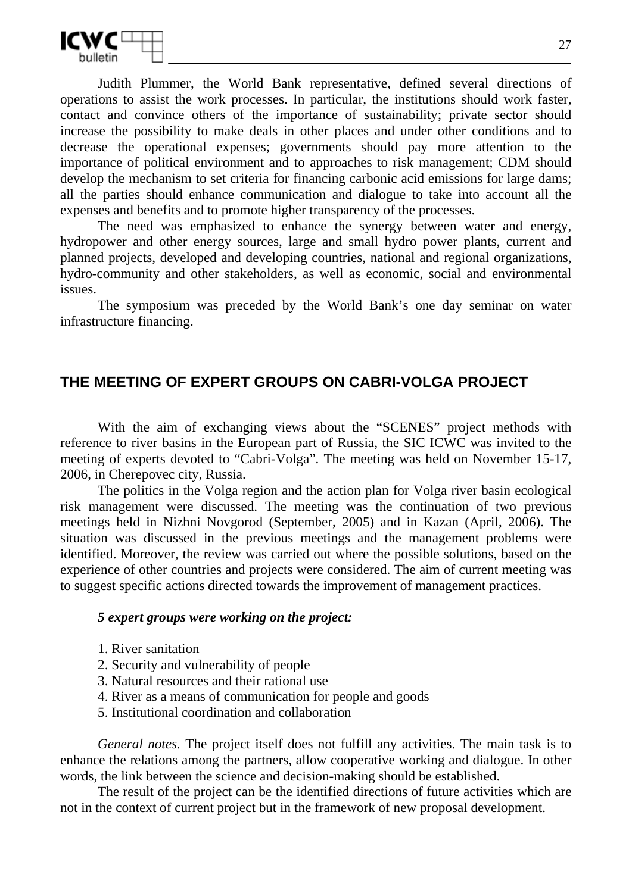

Judith Plummer, the World Bank representative, defined several directions of operations to assist the work processes. In particular, the institutions should work faster, contact and convince others of the importance of sustainability; private sector should increase the possibility to make deals in other places and under other conditions and to decrease the operational expenses; governments should pay more attention to the importance of political environment and to approaches to risk management; CDM should develop the mechanism to set criteria for financing carbonic acid emissions for large dams; all the parties should enhance communication and dialogue to take into account all the expenses and benefits and to promote higher transparency of the processes.

The need was emphasized to enhance the synergy between water and energy, hydropower and other energy sources, large and small hydro power plants, current and planned projects, developed and developing countries, national and regional organizations, hydro-community and other stakeholders, as well as economic, social and environmental issues.

The symposium was preceded by the World Bank's one day seminar on water infrastructure financing.

## **THE MEETING OF EXPERT GROUPS ON CABRI-VOLGA PROJECT**

With the aim of exchanging views about the "SCENES" project methods with reference to river basins in the European part of Russia, the SIC ICWC was invited to the meeting of experts devoted to "Cabri-Volga". The meeting was held on November 15-17, 2006, in Cherepovec city, Russia.

The politics in the Volga region and the action plan for Volga river basin ecological risk management were discussed. The meeting was the continuation of two previous meetings held in Nizhni Novgorod (September, 2005) and in Kazan (April, 2006). The situation was discussed in the previous meetings and the management problems were identified. Moreover, the review was carried out where the possible solutions, based on the experience of other countries and projects were considered. The aim of current meeting was to suggest specific actions directed towards the improvement of management practices.

#### *5 expert groups were working on the project:*

- 1. River sanitation
- 2. Security and vulnerability of people
- 3. Natural resources and their rational use
- 4. River as a means of communication for people and goods
- 5. Institutional coordination and collaboration

*General notes.* The project itself does not fulfill any activities. The main task is to enhance the relations among the partners, allow cooperative working and dialogue. In other words, the link between the science and decision-making should be established.

The result of the project can be the identified directions of future activities which are not in the context of current project but in the framework of new proposal development.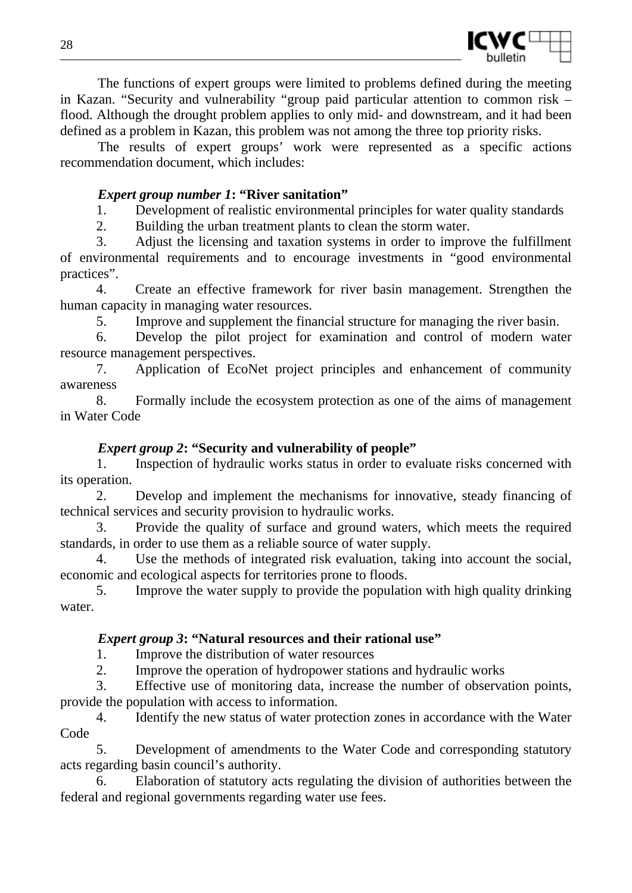

The functions of expert groups were limited to problems defined during the meeting in Kazan. "Security and vulnerability "group paid particular attention to common risk – flood. Although the drought problem applies to only mid- and downstream, and it had been defined as a problem in Kazan, this problem was not among the three top priority risks.

The results of expert groups' work were represented as a specific actions recommendation document, which includes:

### *Expert group number 1***: "River sanitation"**

1. Development of realistic environmental principles for water quality standards

2. Building the urban treatment plants to clean the storm water.

3. Adjust the licensing and taxation systems in order to improve the fulfillment of environmental requirements and to encourage investments in "good environmental practices".

4. Create an effective framework for river basin management. Strengthen the human capacity in managing water resources.

5. Improve and supplement the financial structure for managing the river basin.

6. Develop the pilot project for examination and control of modern water resource management perspectives.

7. Application of EcoNet project principles and enhancement of community awareness

8. Formally include the ecosystem protection as one of the aims of management in Water Code

### *Expert group 2***: "Security and vulnerability of people"**

1. Inspection of hydraulic works status in order to evaluate risks concerned with its operation.

2. Develop and implement the mechanisms for innovative, steady financing of technical services and security provision to hydraulic works.

3. Provide the quality of surface and ground waters, which meets the required standards, in order to use them as a reliable source of water supply.

4. Use the methods of integrated risk evaluation, taking into account the social, economic and ecological aspects for territories prone to floods.

5. Improve the water supply to provide the population with high quality drinking water.

#### *Expert group 3***: "Natural resources and their rational use"**

1. Improve the distribution of water resources

2. Improve the operation of hydropower stations and hydraulic works

3. Effective use of monitoring data, increase the number of observation points, provide the population with access to information.

4. Identify the new status of water protection zones in accordance with the Water Code

5. Development of amendments to the Water Code and corresponding statutory acts regarding basin council's authority.

6. Elaboration of statutory acts regulating the division of authorities between the federal and regional governments regarding water use fees.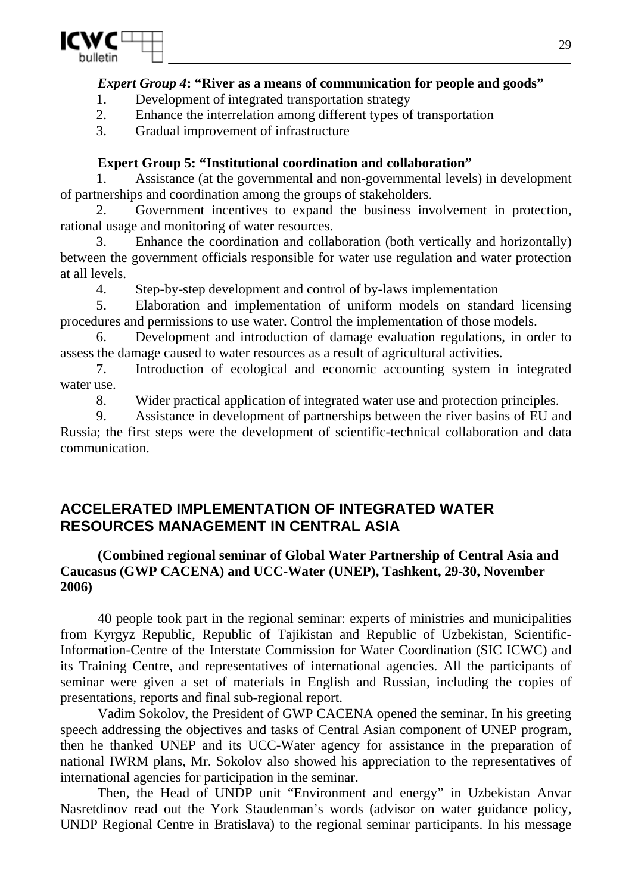

### *Expert Group 4***: "River as a means of communication for people and goods"**

- 1. Development of integrated transportation strategy
- 2. Enhance the interrelation among different types of transportation

3. Gradual improvement of infrastructure

## **Expert Group 5: "Institutional coordination and collaboration"**

Assistance (at the governmental and non-governmental levels) in development of partnerships and coordination among the groups of stakeholders.

2. Government incentives to expand the business involvement in protection, rational usage and monitoring of water resources.

3. Enhance the coordination and collaboration (both vertically and horizontally) between the government officials responsible for water use regulation and water protection at all levels.

4. Step-by-step development and control of by-laws implementation

5. Elaboration and implementation of uniform models on standard licensing procedures and permissions to use water. Control the implementation of those models.

6. Development and introduction of damage evaluation regulations, in order to assess the damage caused to water resources as a result of agricultural activities.

7. Introduction of ecological and economic accounting system in integrated water use.

8. Wider practical application of integrated water use and protection principles.

9. Assistance in development of partnerships between the river basins of EU and Russia; the first steps were the development of scientific-technical collaboration and data communication.

# **ACCELERATED IMPLEMENTATION OF INTEGRATED WATER RESOURCES MANAGEMENT IN CENTRAL ASIA**

### **(Combined regional seminar of Global Water Partnership of Central Asia and Caucasus (GWP CACENA) and UCC-Water (UNEP), Tashkent, 29-30, November 2006)**

40 people took part in the regional seminar: experts of ministries and municipalities from Kyrgyz Republic, Republic of Tajikistan and Republic of Uzbekistan, Scientific-Information-Centre of the Interstate Commission for Water Coordination (SIC ICWC) and its Training Centre, and representatives of international agencies. All the participants of seminar were given a set of materials in English and Russian, including the copies of presentations, reports and final sub-regional report.

Vadim Sokolov, the President of GWP CACENA opened the seminar. In his greeting speech addressing the objectives and tasks of Central Asian component of UNEP program, then he thanked UNEP and its UCC-Water agency for assistance in the preparation of national IWRM plans, Mr. Sokolov also showed his appreciation to the representatives of international agencies for participation in the seminar.

Then, the Head of UNDP unit "Environment and energy" in Uzbekistan Anvar Nasretdinov read out the York Staudenman's words (advisor on water guidance policy, UNDP Regional Centre in Bratislava) to the regional seminar participants. In his message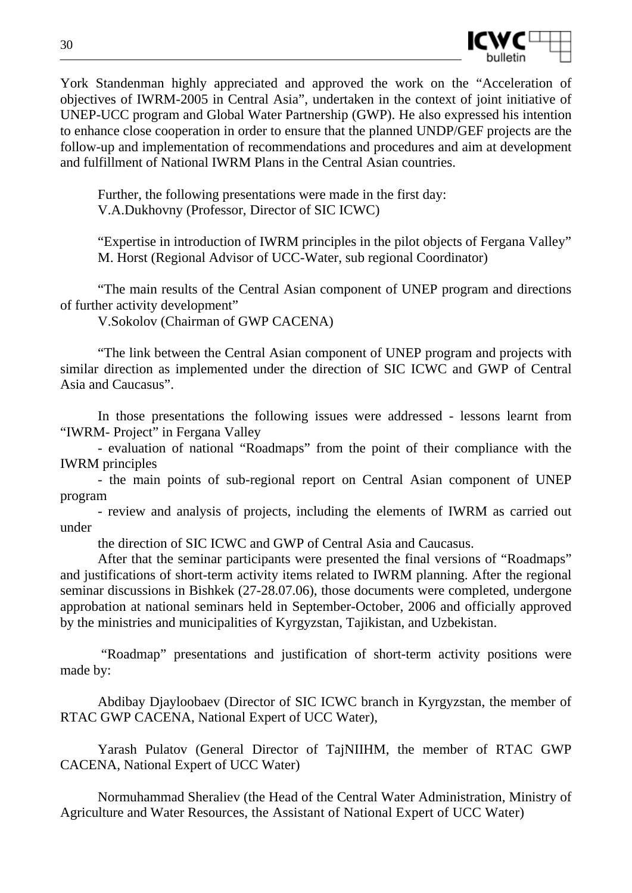

York Standenman highly appreciated and approved the work on the "Acceleration of objectives of IWRM-2005 in Central Asia", undertaken in the context of joint initiative of UNEP-UCC program and Global Water Partnership (GWP). He also expressed his intention to enhance close cooperation in order to ensure that the planned UNDP/GEF projects are the follow-up and implementation of recommendations and procedures and aim at development and fulfillment of National IWRM Plans in the Central Asian countries.

Further, the following presentations were made in the first day: V.A.Dukhovny (Professor, Director of SIC ICWC)

"Expertise in introduction of IWRM principles in the pilot objects of Fergana Valley" M. Horst (Regional Advisor of UCC-Water, sub regional Coordinator)

"The main results of the Central Asian component of UNEP program and directions of further activity development"

V.Sokolov (Chairman of GWP CACENA)

"The link between the Central Asian component of UNEP program and projects with similar direction as implemented under the direction of SIC ICWC and GWP of Central Asia and Caucasus".

In those presentations the following issues were addressed - lessons learnt from "IWRM- Project" in Fergana Valley

- evaluation of national "Roadmaps" from the point of their compliance with the IWRM principles

- the main points of sub-regional report on Central Asian component of UNEP program

- review and analysis of projects, including the elements of IWRM as carried out under

the direction of SIC ICWC and GWP of Central Asia and Caucasus.

After that the seminar participants were presented the final versions of "Roadmaps" and justifications of short-term activity items related to IWRM planning. After the regional seminar discussions in Bishkek (27-28.07.06), those documents were completed, undergone approbation at national seminars held in September-October, 2006 and officially approved by the ministries and municipalities of Kyrgyzstan, Tajikistan, and Uzbekistan.

 "Roadmap" presentations and justification of short-term activity positions were made by:

Abdibay Djayloobaev (Director of SIC ICWC branch in Kyrgyzstan, the member of RTAC GWP CACENA, National Expert of UCC Water),

Yarash Pulatov (General Director of TajNIIHM, the member of RTAC GWP CACENA, National Expert of UCC Water)

Normuhammad Sheraliev (the Head of the Central Water Administration, Ministry of Agriculture and Water Resources, the Assistant of National Expert of UCC Water)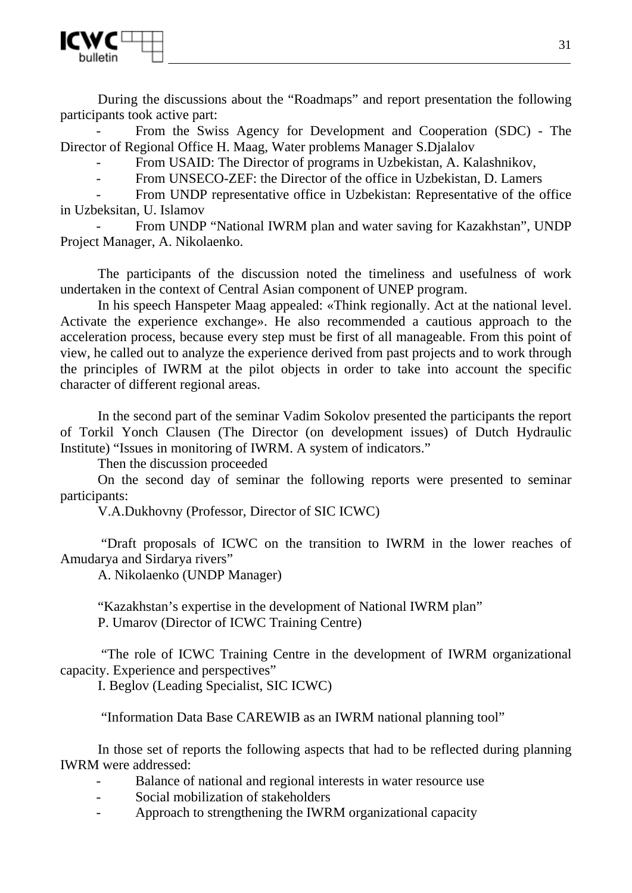

During the discussions about the "Roadmaps" and report presentation the following participants took active part:

From the Swiss Agency for Development and Cooperation (SDC) - The Director of Regional Office H. Maag, Water problems Manager S.Djalalov

From USAID: The Director of programs in Uzbekistan, A. Kalashnikov,

From UNSECO-ZEF: the Director of the office in Uzbekistan, D. Lamers

- From UNDP representative office in Uzbekistan: Representative of the office in Uzbeksitan, U. Islamov

From UNDP "National IWRM plan and water saving for Kazakhstan", UNDP Project Manager, A. Nikolaenko.

The participants of the discussion noted the timeliness and usefulness of work undertaken in the context of Central Asian component of UNEP program.

In his speech Hanspeter Maag appealed: «Think regionally. Act at the national level. Activate the experience exchange». He also recommended a cautious approach to the acceleration process, because every step must be first of all manageable. From this point of view, he called out to analyze the experience derived from past projects and to work through the principles of IWRM at the pilot objects in order to take into account the specific character of different regional areas.

In the second part of the seminar Vadim Sokolov presented the participants the report of Torkil Yonch Clausen (The Director (on development issues) of Dutch Hydraulic Institute) "Issues in monitoring of IWRM. A system of indicators."

Then the discussion proceeded

On the second day of seminar the following reports were presented to seminar participants:

V.A.Dukhovny (Professor, Director of SIC ICWC)

 "Draft proposals of ICWC on the transition to IWRM in the lower reaches of Amudarya and Sirdarya rivers"

A. Nikolaenko (UNDP Manager)

"Kazakhstan's expertise in the development of National IWRM plan" P. Umarov (Director of ICWC Training Centre)

 "The role of ICWC Training Centre in the development of IWRM organizational capacity. Experience and perspectives"

I. Beglov (Leading Specialist, SIC ICWC)

"Information Data Base CAREWIB as an IWRM national planning tool"

In those set of reports the following aspects that had to be reflected during planning IWRM were addressed:

- Balance of national and regional interests in water resource use
- Social mobilization of stakeholders
- Approach to strengthening the IWRM organizational capacity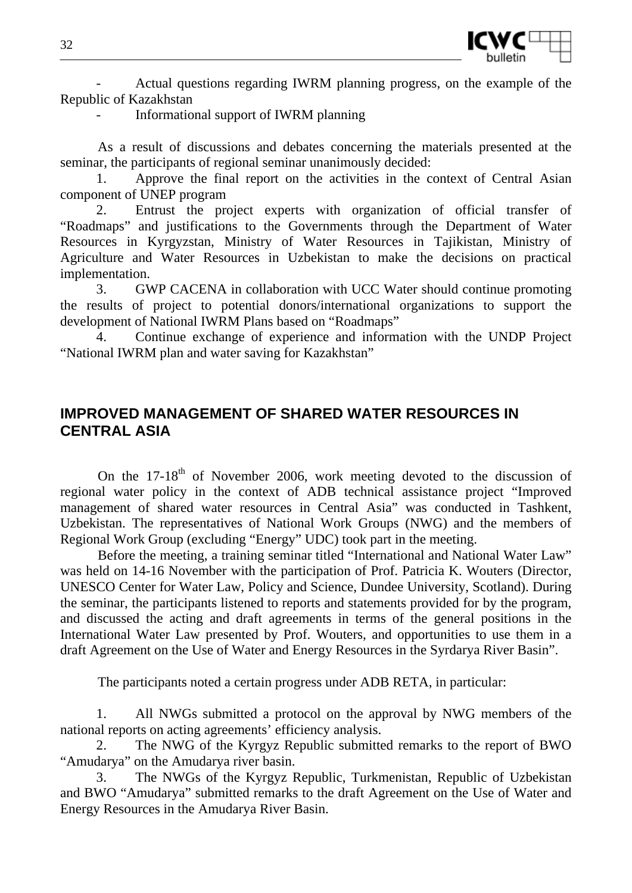

- Actual questions regarding IWRM planning progress, on the example of the Republic of Kazakhstan

- Informational support of IWRM planning

As a result of discussions and debates concerning the materials presented at the seminar, the participants of regional seminar unanimously decided:

1. Approve the final report on the activities in the context of Central Asian component of UNEP program

2. Entrust the project experts with organization of official transfer of "Roadmaps" and justifications to the Governments through the Department of Water Resources in Kyrgyzstan, Ministry of Water Resources in Tajikistan, Ministry of Agriculture and Water Resources in Uzbekistan to make the decisions on practical implementation.

3. GWP CACENA in collaboration with UCC Water should continue promoting the results of project to potential donors/international organizations to support the development of National IWRM Plans based on "Roadmaps"

4. Continue exchange of experience and information with the UNDP Project "National IWRM plan and water saving for Kazakhstan"

## **IMPROVED MANAGEMENT OF SHARED WATER RESOURCES IN CENTRAL ASIA**

On the  $17-18^{th}$  of November 2006, work meeting devoted to the discussion of regional water policy in the context of ADB technical assistance project "Improved management of shared water resources in Central Asia" was conducted in Tashkent, Uzbekistan. The representatives of National Work Groups (NWG) and the members of Regional Work Group (excluding "Energy" UDC) took part in the meeting.

Before the meeting, a training seminar titled "International and National Water Law" was held on 14-16 November with the participation of Prof. Patricia K. Wouters (Director, UNESCO Center for Water Law, Policy and Science, Dundee University, Scotland). During the seminar, the participants listened to reports and statements provided for by the program, and discussed the acting and draft agreements in terms of the general positions in the International Water Law presented by Prof. Wouters, and opportunities to use them in a draft Agreement on the Use of Water and Energy Resources in the Syrdarya River Basin".

The participants noted a certain progress under ADB RETA, in particular:

1. All NWGs submitted a protocol on the approval by NWG members of the national reports on acting agreements' efficiency analysis.

2. The NWG of the Kyrgyz Republic submitted remarks to the report of BWO "Amudarya" on the Amudarya river basin.

3. The NWGs of the Kyrgyz Republic, Turkmenistan, Republic of Uzbekistan and BWO "Amudarya" submitted remarks to the draft Agreement on the Use of Water and Energy Resources in the Amudarya River Basin.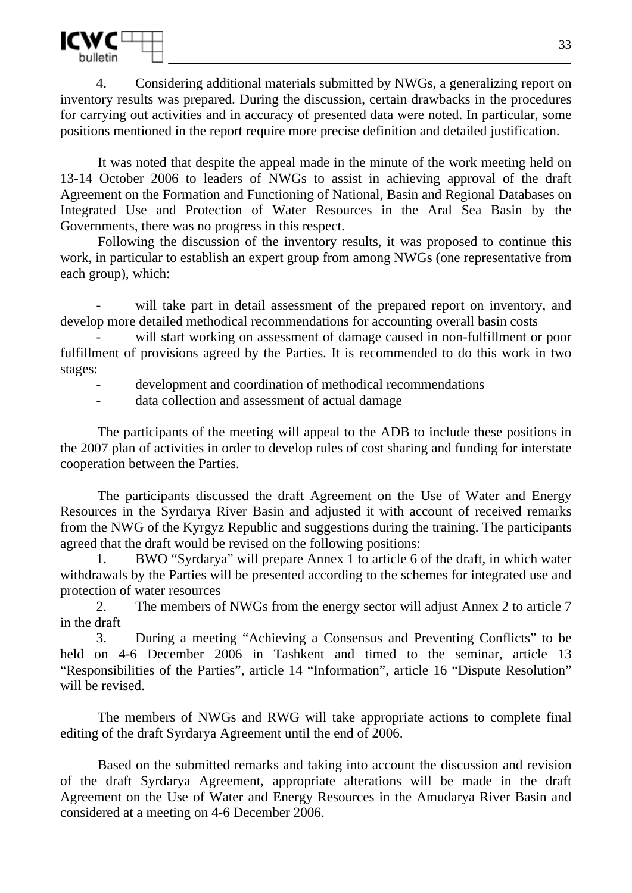

4. Considering additional materials submitted by NWGs, a generalizing report on inventory results was prepared. During the discussion, certain drawbacks in the procedures for carrying out activities and in accuracy of presented data were noted. In particular, some positions mentioned in the report require more precise definition and detailed justification.

It was noted that despite the appeal made in the minute of the work meeting held on 13-14 October 2006 to leaders of NWGs to assist in achieving approval of the draft Agreement on the Formation and Functioning of National, Basin and Regional Databases on Integrated Use and Protection of Water Resources in the Aral Sea Basin by the Governments, there was no progress in this respect.

Following the discussion of the inventory results, it was proposed to continue this work, in particular to establish an expert group from among NWGs (one representative from each group), which:

will take part in detail assessment of the prepared report on inventory, and develop more detailed methodical recommendations for accounting overall basin costs

will start working on assessment of damage caused in non-fulfillment or poor fulfillment of provisions agreed by the Parties. It is recommended to do this work in two stages:

development and coordination of methodical recommendations

data collection and assessment of actual damage

The participants of the meeting will appeal to the ADB to include these positions in the 2007 plan of activities in order to develop rules of cost sharing and funding for interstate cooperation between the Parties.

The participants discussed the draft Agreement on the Use of Water and Energy Resources in the Syrdarya River Basin and adjusted it with account of received remarks from the NWG of the Kyrgyz Republic and suggestions during the training. The participants agreed that the draft would be revised on the following positions:

1. BWO "Syrdarya" will prepare Annex 1 to article 6 of the draft, in which water withdrawals by the Parties will be presented according to the schemes for integrated use and protection of water resources

2. The members of NWGs from the energy sector will adjust Annex 2 to article 7 in the draft

3. During a meeting "Achieving a Consensus and Preventing Conflicts" to be held on 4-6 December 2006 in Tashkent and timed to the seminar, article 13 "Responsibilities of the Parties", article 14 "Information", article 16 "Dispute Resolution" will be revised.

The members of NWGs and RWG will take appropriate actions to complete final editing of the draft Syrdarya Agreement until the end of 2006.

Based on the submitted remarks and taking into account the discussion and revision of the draft Syrdarya Agreement, appropriate alterations will be made in the draft Agreement on the Use of Water and Energy Resources in the Amudarya River Basin and considered at a meeting on 4-6 December 2006.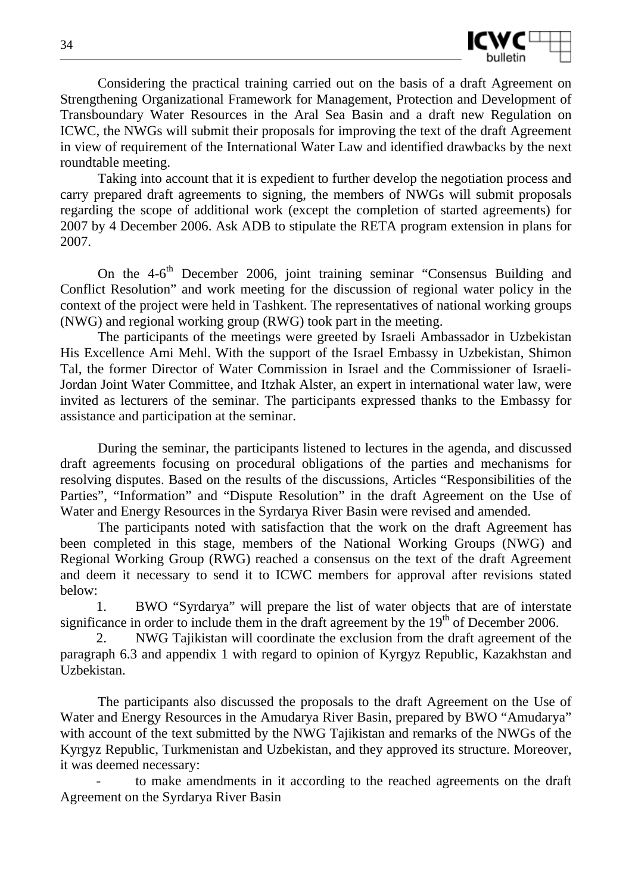

Considering the practical training carried out on the basis of a draft Agreement on Strengthening Organizational Framework for Management, Protection and Development of Transboundary Water Resources in the Aral Sea Basin and a draft new Regulation on ICWC, the NWGs will submit their proposals for improving the text of the draft Agreement in view of requirement of the International Water Law and identified drawbacks by the next roundtable meeting.

Taking into account that it is expedient to further develop the negotiation process and carry prepared draft agreements to signing, the members of NWGs will submit proposals regarding the scope of additional work (except the completion of started agreements) for 2007 by 4 December 2006. Ask ADB to stipulate the RETA program extension in plans for 2007.

On the  $4-6$ <sup>th</sup> December 2006, joint training seminar "Consensus Building and Conflict Resolution" and work meeting for the discussion of regional water policy in the context of the project were held in Tashkent. The representatives of national working groups (NWG) and regional working group (RWG) took part in the meeting.

The participants of the meetings were greeted by Israeli Ambassador in Uzbekistan His Excellence Ami Mehl. With the support of the Israel Embassy in Uzbekistan, Shimon Tal, the former Director of Water Commission in Israel and the Commissioner of Israeli-Jordan Joint Water Committee, and Itzhak Alster, an expert in international water law, were invited as lecturers of the seminar. The participants expressed thanks to the Embassy for assistance and participation at the seminar.

During the seminar, the participants listened to lectures in the agenda, and discussed draft agreements focusing on procedural obligations of the parties and mechanisms for resolving disputes. Based on the results of the discussions, Articles "Responsibilities of the Parties", "Information" and "Dispute Resolution" in the draft Agreement on the Use of Water and Energy Resources in the Syrdarya River Basin were revised and amended.

The participants noted with satisfaction that the work on the draft Agreement has been completed in this stage, members of the National Working Groups (NWG) and Regional Working Group (RWG) reached a consensus on the text of the draft Agreement and deem it necessary to send it to ICWC members for approval after revisions stated below:

1. BWO "Syrdarya" will prepare the list of water objects that are of interstate significance in order to include them in the draft agreement by the  $19<sup>th</sup>$  of December 2006.

NWG Tajikistan will coordinate the exclusion from the draft agreement of the paragraph 6.3 and appendix 1 with regard to opinion of Kyrgyz Republic, Kazakhstan and Uzbekistan.

The participants also discussed the proposals to the draft Agreement on the Use of Water and Energy Resources in the Amudarya River Basin, prepared by BWO "Amudarya" with account of the text submitted by the NWG Tajikistan and remarks of the NWGs of the Kyrgyz Republic, Turkmenistan and Uzbekistan, and they approved its structure. Moreover, it was deemed necessary:

to make amendments in it according to the reached agreements on the draft Agreement on the Syrdarya River Basin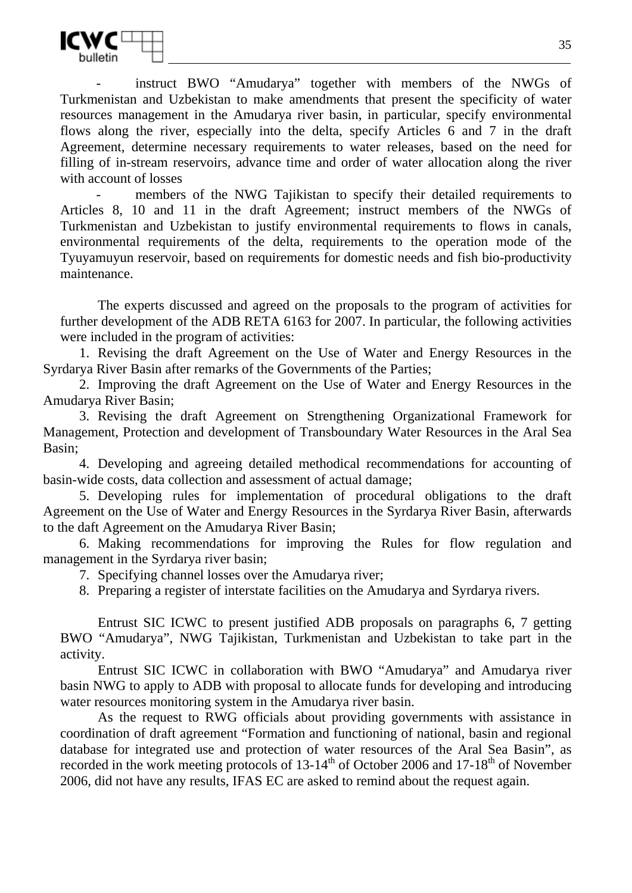

instruct BWO "Amudarya" together with members of the NWGs of Turkmenistan and Uzbekistan to make amendments that present the specificity of water resources management in the Amudarya river basin, in particular, specify environmental flows along the river, especially into the delta, specify Articles  $6$  and 7 in the draft Agreement, determine necessary requirements to water releases, based on the need for filling of in-stream reservoirs, advance time and order of water allocation along the river with account of losses

members of the NWG Tajikistan to specify their detailed requirements to Articles 8, 10 and 11 in the draft Agreement; instruct members of the NWGs of Turkmenistan and Uzbekistan to justify environmental requirements to flows in canals, environmental requirements of the delta, requirements to the operation mode of the Tyuyamuyun reservoir, based on requirements for domestic needs and fish bio-productivity maintenance.

The experts discussed and agreed on the proposals to the program of activities for further development of the ADB RETA 6163 for 2007. In particular, the following activities were included in the program of activities:

1. Revising the draft Agreement on the Use of Water and Energy Resources in the Syrdarya River Basin after remarks of the Governments of the Parties;

2. Improving the draft Agreement on the Use of Water and Energy Resources in the Amudarya River Basin;

3. Revising the draft Agreement on Strengthening Organizational Framework for Management, Protection and development of Transboundary Water Resources in the Aral Sea Basin;

4. Developing and agreeing detailed methodical recommendations for accounting of basin-wide costs, data collection and assessment of actual damage;

5. Developing rules for implementation of procedural obligations to the draft Agreement on the Use of Water and Energy Resources in the Syrdarya River Basin, afterwards to the daft Agreement on the Amudarya River Basin;

6. Making recommendations for improving the Rules for flow regulation and management in the Syrdarya river basin;

7. Specifying channel losses over the Amudarya river;

8. Preparing a register of interstate facilities on the Amudarya and Syrdarya rivers.

Entrust SIC ICWC to present justified ADB proposals on paragraphs 6, 7 getting BWO "Amudarya", NWG Tajikistan, Turkmenistan and Uzbekistan to take part in the activity.

Entrust SIC ICWC in collaboration with BWO "Amudarya" and Amudarya river basin NWG to apply to ADB with proposal to allocate funds for developing and introducing water resources monitoring system in the Amudarya river basin.

As the request to RWG officials about providing governments with assistance in coordination of draft agreement "Formation and functioning of national, basin and regional database for integrated use and protection of water resources of the Aral Sea Basin", as recorded in the work meeting protocols of  $13-14^{th}$  of October 2006 and  $17-18^{th}$  of November 2006, did not have any results, IFAS EC are asked to remind about the request again.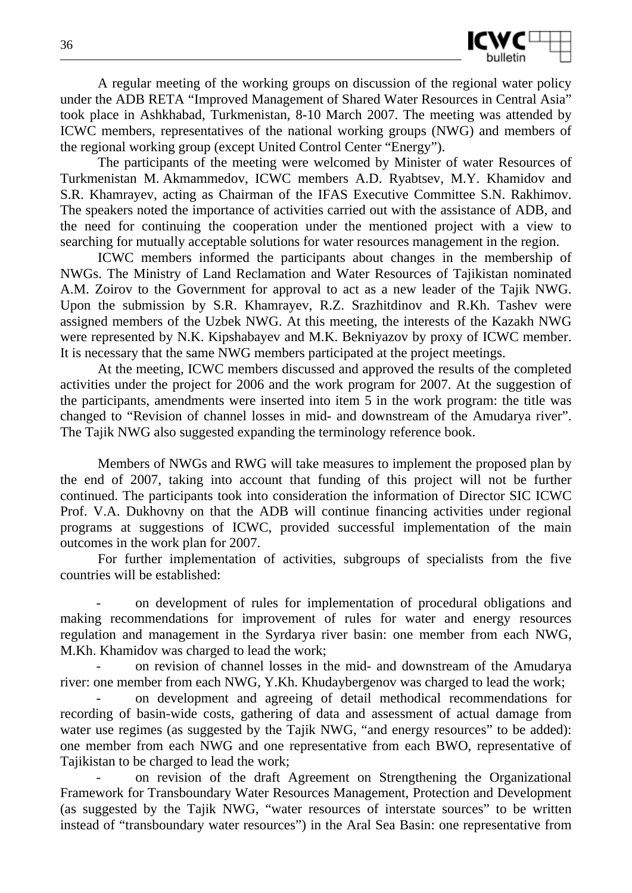

A regular meeting of the working groups on discussion of the regional water policy under the ADB RETA "Improved Management of Shared Water Resources in Central Asia" took place in Ashkhabad, Turkmenistan, 8-10 March 2007. The meeting was attended by ICWC members, representatives of the national working groups (NWG) and members of the regional working group (except United Control Center "Energy").

The participants of the meeting were welcomed by Minister of water Resources of Turkmenistan M. Akmammedov, ICWC members A.D. Ryabtsev, M.Y. Khamidov and S.R. Khamrayev, acting as Chairman of the IFAS Executive Committee S.N. Rakhimov. The speakers noted the importance of activities carried out with the assistance of ADB, and the need for continuing the cooperation under the mentioned project with a view to searching for mutually acceptable solutions for water resources management in the region.

ICWC members informed the participants about changes in the membership of NWGs. The Ministry of Land Reclamation and Water Resources of Tajikistan nominated A.M. Zoirov to the Government for approval to act as a new leader of the Tajik NWG. Upon the submission by S.R. Khamrayev, R.Z. Srazhitdinov and R.Kh. Tashev were assigned members of the Uzbek NWG. At this meeting, the interests of the Kazakh NWG were represented by N.K. Kipshabayev and M.K. Bekniyazov by proxy of ICWC member. It is necessary that the same NWG members participated at the project meetings.

At the meeting, ICWC members discussed and approved the results of the completed activities under the project for 2006 and the work program for 2007. At the suggestion of the participants, amendments were inserted into item 5 in the work program: the title was changed to "Revision of channel losses in mid- and downstream of the Amudarya river". The Tajik NWG also suggested expanding the terminology reference book.

Members of NWGs and RWG will take measures to implement the proposed plan by the end of 2007, taking into account that funding of this project will not be further continued. The participants took into consideration the information of Director SIC ICWC Prof. V.A. Dukhovny on that the ADB will continue financing activities under regional programs at suggestions of ICWC, provided successful implementation of the main outcomes in the work plan for 2007.

For further implementation of activities, subgroups of specialists from the five countries will be established:

- on development of rules for implementation of procedural obligations and making recommendations for improvement of rules for water and energy resources regulation and management in the Syrdarya river basin: one member from each NWG, M.Kh. Khamidov was charged to lead the work;

on revision of channel losses in the mid- and downstream of the Amudarya river: one member from each NWG, Y.Kh. Khudaybergenov was charged to lead the work;

- on development and agreeing of detail methodical recommendations for recording of basin-wide costs, gathering of data and assessment of actual damage from water use regimes (as suggested by the Tajik NWG, "and energy resources" to be added): one member from each NWG and one representative from each BWO, representative of Tajikistan to be charged to lead the work:

- on revision of the draft Agreement on Strengthening the Organizational Framework for Transboundary Water Resources Management, Protection and Development (as suggested by the Tajik NWG, "water resources of interstate sources" to be written instead of "transboundary water resources") in the Aral Sea Basin: one representative from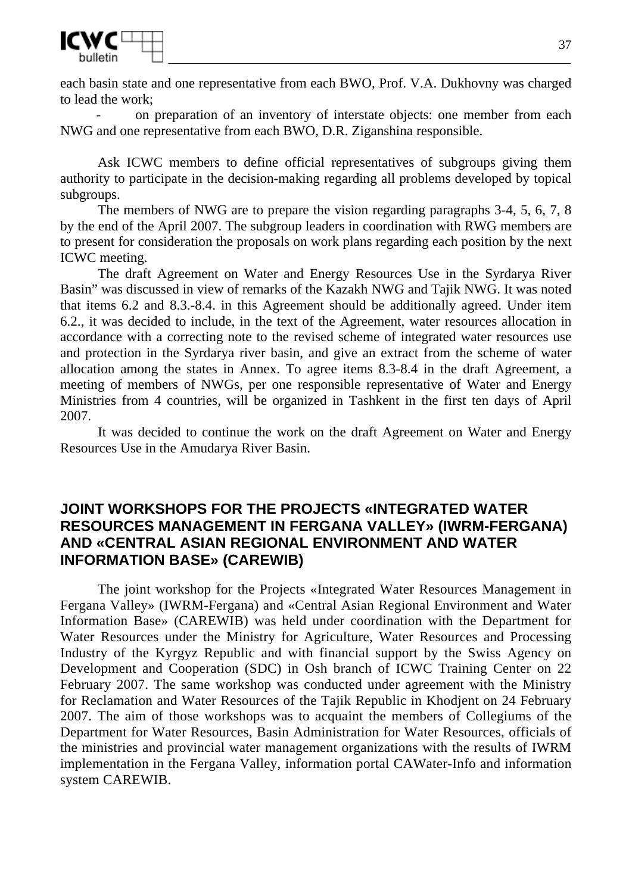

each basin state and one representative from each BWO, Prof. V.A. Dukhovny was charged to lead the work;

on preparation of an inventory of interstate objects: one member from each NWG and one representative from each BWO, D.R. Ziganshina responsible.

Ask ICWC members to define official representatives of subgroups giving them authority to participate in the decision-making regarding all problems developed by topical subgroups.

The members of NWG are to prepare the vision regarding paragraphs 3-4, 5, 6, 7, 8 by the end of the April 2007. The subgroup leaders in coordination with RWG members are to present for consideration the proposals on work plans regarding each position by the next ICWC meeting.

The draft Agreement on Water and Energy Resources Use in the Syrdarya River Basin" was discussed in view of remarks of the Kazakh NWG and Tajik NWG. It was noted that items 6.2 and 8.3.-8.4. in this Agreement should be additionally agreed. Under item 6.2., it was decided to include, in the text of the Agreement, water resources allocation in accordance with a correcting note to the revised scheme of integrated water resources use and protection in the Syrdarya river basin, and give an extract from the scheme of water allocation among the states in Annex. To agree items 8.3-8.4 in the draft Agreement, a meeting of members of NWGs, per one responsible representative of Water and Energy Ministries from 4 countries, will be organized in Tashkent in the first ten days of April 2007.

It was decided to continue the work on the draft Agreement on Water and Energy Resources Use in the Amudarya River Basin.

## **JOINT WORKSHOPS FOR THE PROJECTS «INTEGRATED WATER RESOURCES MANAGEMENT IN FERGANA VALLEY» (IWRM-FERGANA) AND «CENTRAL ASIAN REGIONAL ENVIRONMENT AND WATER INFORMATION BASE» (CAREWIB)**

The joint workshop for the Projects «Integrated Water Resources Management in Fergana Valley» (IWRM-Fergana) and «Central Asian Regional Environment and Water Information Base» (CAREWIB) was held under coordination with the Department for Water Resources under the Ministry for Agriculture, Water Resources and Processing Industry of the Kyrgyz Republic and with financial support by the Swiss Agency on Development and Cooperation (SDC) in Osh branch of ICWC Training Center on 22 February 2007. The same workshop was conducted under agreement with the Ministry for Reclamation and Water Resources of the Tajik Republic in Khodjent on 24 February 2007. The aim of those workshops was to acquaint the members of Collegiums of the Department for Water Resources, Basin Administration for Water Resources, officials of the ministries and provincial water management organizations with the results of IWRM implementation in the Fergana Valley, information portal CAWater-Info and information system CAREWIB.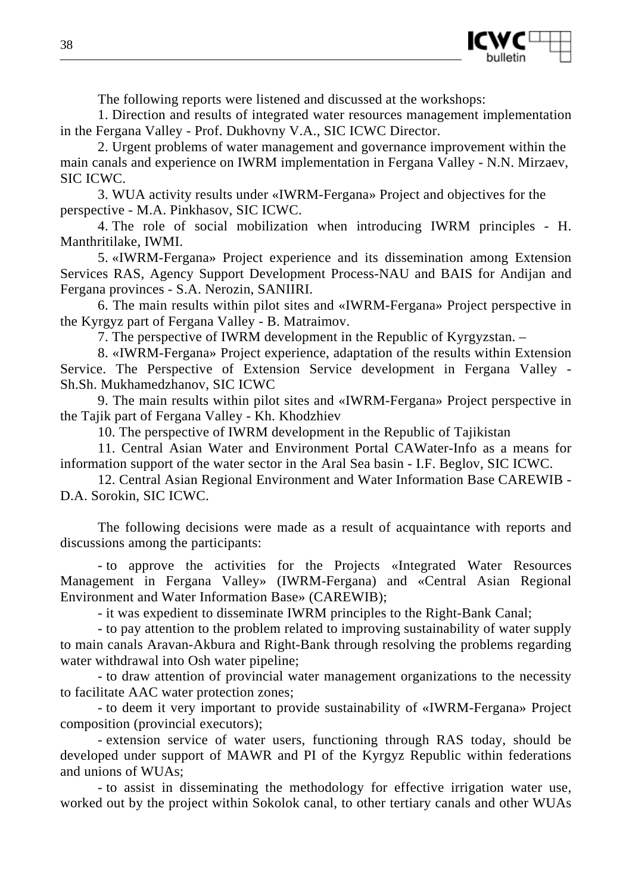

The following reports were listened and discussed at the workshops:

1. Direction and results of integrated water resources management implementation in the Fergana Valley - Prof. Dukhovny V.A., SIC ICWC Director.

2. Urgent problems of water management and governance improvement within the main canals and experience on IWRM implementation in Fergana Valley - N.N. Mirzaev, SIC ICWC.

3. WUA activity results under «IWRM-Fergana» Project and objectives for the perspective - M.A. Pinkhasov, SIC ICWC.

4. The role of social mobilization when introducing IWRM principles - H. Manthritilake, IWMI.

5. «IWRM-Fergana» Project experience and its dissemination among Extension Services RAS, Agency Support Development Process-NAU and BAIS for Andijan and Fergana provinces - S.A. Nerozin, SANIIRI.

6. The main results within pilot sites and «IWRM-Fergana» Project perspective in the Kyrgyz part of Fergana Valley - B. Matraimov.

7. The perspective of IWRM development in the Republic of Kyrgyzstan. –

8. «IWRM-Fergana» Project experience, adaptation of the results within Extension Service. The Perspective of Extension Service development in Fergana Valley - Sh.Sh. Mukhamedzhanov, SIC ICWC

9. The main results within pilot sites and «IWRM-Fergana» Project perspective in the Tajik part of Fergana Valley - Kh. Khodzhiev

10. The perspective of IWRM development in the Republic of Tajikistan

11. Central Asian Water and Environment Portal CAWater-Info as a means for information support of the water sector in the Aral Sea basin - I.F. Beglov, SIC ICWC.

12. Central Asian Regional Environment and Water Information Base CAREWIB - D.A. Sorokin, SIC ICWC.

The following decisions were made as a result of acquaintance with reports and discussions among the participants:

- to approve the activities for the Projects «Integrated Water Resources Management in Fergana Valley» (IWRM-Fergana) and «Central Asian Regional Environment and Water Information Base» (CAREWIB);

- it was expedient to disseminate IWRM principles to the Right-Bank Canal;

- to pay attention to the problem related to improving sustainability of water supply to main canals Aravan-Akbura and Right-Bank through resolving the problems regarding water withdrawal into Osh water pipeline:

- to draw attention of provincial water management organizations to the necessity to facilitate AAC water protection zones;

- to deem it very important to provide sustainability of «IWRM-Fergana» Project composition (provincial executors);

- extension service of water users, functioning through RAS today, should be developed under support of MAWR and PI of the Kyrgyz Republic within federations and unions of WUAs;

- to assist in disseminating the methodology for effective irrigation water use, worked out by the project within Sokolok canal, to other tertiary canals and other WUAs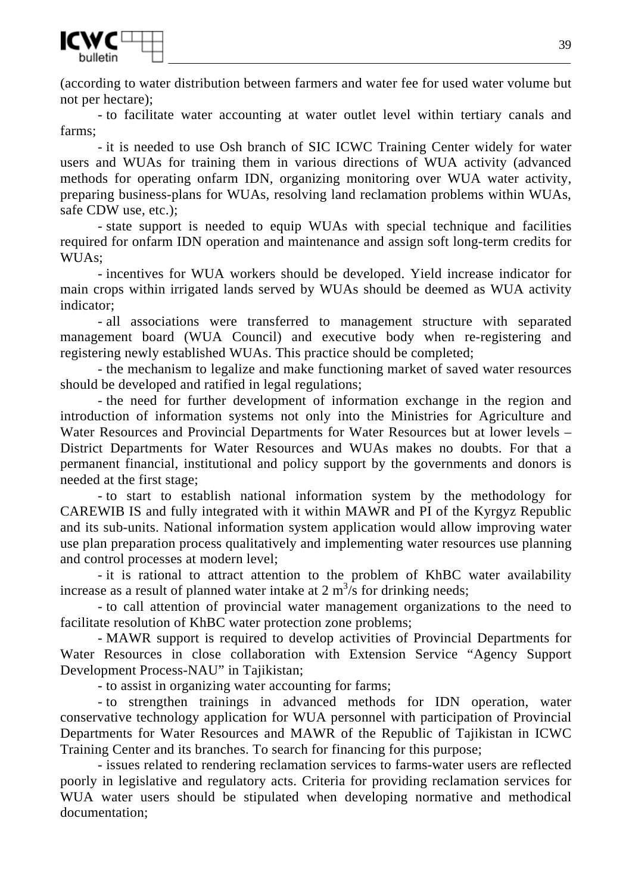

(according to water distribution between farmers and water fee for used water volume but not per hectare);

- to facilitate water accounting at water outlet level within tertiary canals and farms;

- it is needed to use Osh branch of SIC ICWC Training Center widely for water users and WUAs for training them in various directions of WUA activity (advanced methods for operating onfarm IDN, organizing monitoring over WUA water activity, preparing business-plans for WUAs, resolving land reclamation problems within WUAs, safe CDW use, etc.);

- state support is needed to equip WUAs with special technique and facilities required for onfarm IDN operation and maintenance and assign soft long-term credits for WUAs;

- incentives for WUA workers should be developed. Yield increase indicator for main crops within irrigated lands served by WUAs should be deemed as WUA activity indicator;

- all associations were transferred to management structure with separated management board (WUA Council) and executive body when re-registering and registering newly established WUAs. This practice should be completed;

- the mechanism to legalize and make functioning market of saved water resources should be developed and ratified in legal regulations;

- the need for further development of information exchange in the region and introduction of information systems not only into the Ministries for Agriculture and Water Resources and Provincial Departments for Water Resources but at lower levels – District Departments for Water Resources and WUAs makes no doubts. For that a permanent financial, institutional and policy support by the governments and donors is needed at the first stage;

- to start to establish national information system by the methodology for CAREWIB IS and fully integrated with it within MAWR and PI of the Kyrgyz Republic and its sub-units. National information system application would allow improving water use plan preparation process qualitatively and implementing water resources use planning and control processes at modern level;

- it is rational to attract attention to the problem of KhBC water availability increase as a result of planned water intake at  $2 \text{ m}^3/\text{s}$  for drinking needs;

- to call attention of provincial water management organizations to the need to facilitate resolution of KhBC water protection zone problems;

- MAWR support is required to develop activities of Provincial Departments for Water Resources in close collaboration with Extension Service "Agency Support Development Process-NAU" in Tajikistan;

- to assist in organizing water accounting for farms;

- to strengthen trainings in advanced methods for IDN operation, water conservative technology application for WUA personnel with participation of Provincial Departments for Water Resources and MAWR of the Republic of Tajikistan in ICWC Training Center and its branches. To search for financing for this purpose;

- issues related to rendering reclamation services to farms-water users are reflected poorly in legislative and regulatory acts. Criteria for providing reclamation services for WUA water users should be stipulated when developing normative and methodical documentation;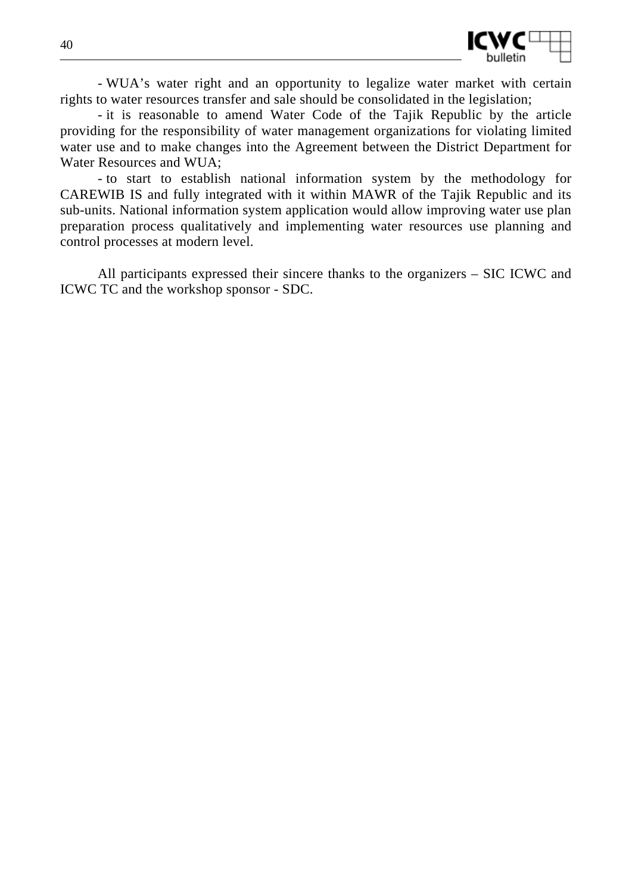

- WUA's water right and an opportunity to legalize water market with certain rights to water resources transfer and sale should be consolidated in the legislation;

- it is reasonable to amend Water Code of the Tajik Republic by the article providing for the responsibility of water management organizations for violating limited water use and to make changes into the Agreement between the District Department for Water Resources and WUA;

- to start to establish national information system by the methodology for CAREWIB IS and fully integrated with it within MAWR of the Tajik Republic and its sub-units. National information system application would allow improving water use plan preparation process qualitatively and implementing water resources use planning and control processes at modern level.

All participants expressed their sincere thanks to the organizers – SIC ICWC and ICWC TC and the workshop sponsor - SDC.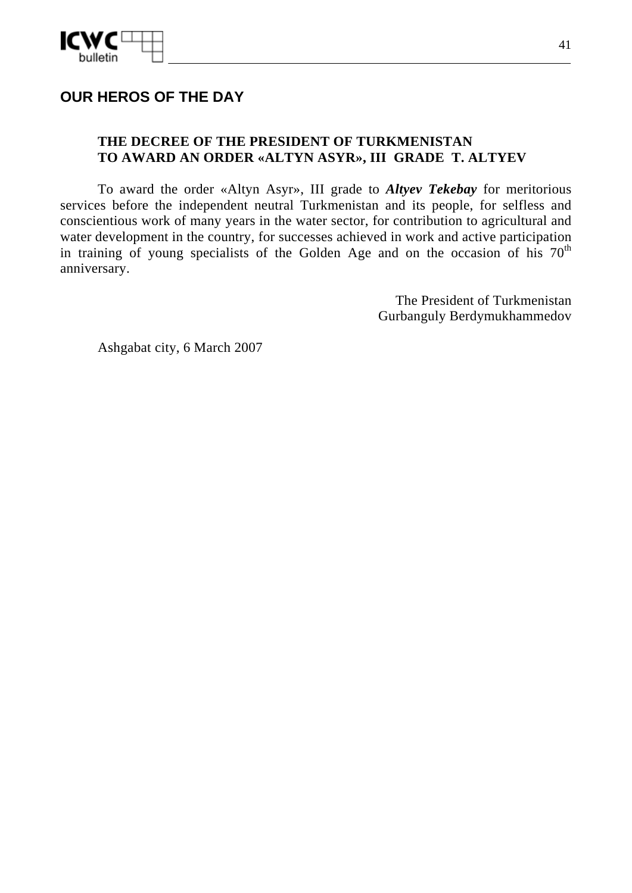

# **OUR HEROS OF THE DAY**

### **THE DECREE OF THE PRESIDENT OF TURKMENISTAN TO AWARD AN ORDER «ALTYN ASYR», III GRADE T. ALTYEV**

To award the order «Altyn Asyr», III grade to *Altyev Tekebay* for meritorious services before the independent neutral Turkmenistan and its people, for selfless and conscientious work of many years in the water sector, for contribution to agricultural and water development in the country, for successes achieved in work and active participation in training of young specialists of the Golden Age and on the occasion of his  $70<sup>th</sup>$ anniversary.

> The President of Turkmenistan Gurbanguly Berdymukhammedov

Ashgabat city, 6 March 2007